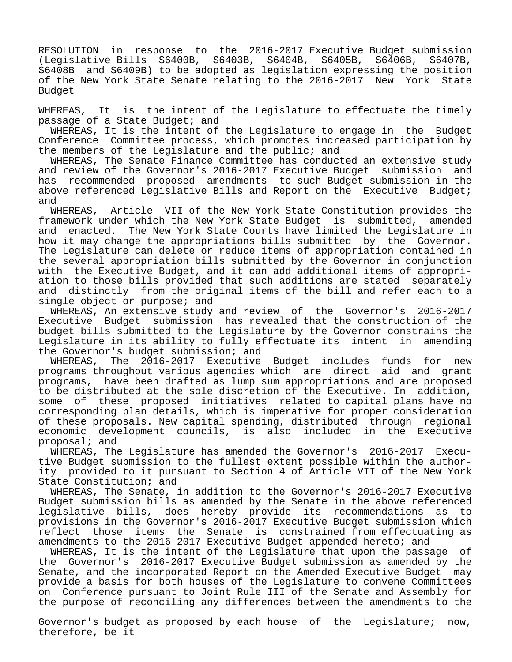RESOLUTION in response to the 2016-2017 Executive Budget submission (Legislative Bills S6400B, S6403B, S6404B, S6405B, S6406B, S6407B, S6408B and S6409B) to be adopted as legislation expressing the position of the New York State Senate relating to the 2016-2017 New York State Budget

WHEREAS, It is the intent of the Legislature to effectuate the timely passage of a State Budget; and

 WHEREAS, It is the intent of the Legislature to engage in the Budget Conference Committee process, which promotes increased participation by the members of the Legislature and the public; and

 WHEREAS, The Senate Finance Committee has conducted an extensive study and review of the Governor's 2016-2017 Executive Budget submission and has recommended proposed amendments to such Budget submission in the above referenced Legislative Bills and Report on the Executive Budget; and

 WHEREAS, Article VII of the New York State Constitution provides the framework under which the New York State Budget is submitted, amended and enacted. The New York State Courts have limited the Legislature in how it may change the appropriations bills submitted by the Governor. The Legislature can delete or reduce items of appropriation contained in the several appropriation bills submitted by the Governor in conjunction with the Executive Budget, and it can add additional items of appropriation to those bills provided that such additions are stated separately and distinctly from the original items of the bill and refer each to a single object or purpose; and

 WHEREAS, An extensive study and review of the Governor's 2016-2017 Executive Budget submission has revealed that the construction of the budget bills submitted to the Legislature by the Governor constrains the Legislature in its ability to fully effectuate its intent in amending the Governor's budget submission; and

 WHEREAS, The 2016-2017 Executive Budget includes funds for new programs throughout various agencies which are direct aid and grant programs, have been drafted as lump sum appropriations and are proposed to be distributed at the sole discretion of the Executive. In addition, some of these proposed initiatives related to capital plans have no corresponding plan details, which is imperative for proper consideration of these proposals. New capital spending, distributed through regional economic development councils, is also included in the Executive proposal; and

 WHEREAS, The Legislature has amended the Governor's 2016-2017 Executive Budget submission to the fullest extent possible within the authority provided to it pursuant to Section 4 of Article VII of the New York State Constitution; and

 WHEREAS, The Senate, in addition to the Governor's 2016-2017 Executive Budget submission bills as amended by the Senate in the above referenced legislative bills, does hereby provide its recommendations as to provisions in the Governor's 2016-2017 Executive Budget submission which reflect those items the Senate is constrained from effectuating as amendments to the 2016-2017 Executive Budget appended hereto; and

 WHEREAS, It is the intent of the Legislature that upon the passage of the Governor's 2016-2017 Executive Budget submission as amended by the Senate, and the incorporated Report on the Amended Executive Budget may provide a basis for both houses of the Legislature to convene Committees on Conference pursuant to Joint Rule III of the Senate and Assembly for the purpose of reconciling any differences between the amendments to the

Governor's budget as proposed by each house of the Legislature; now, therefore, be it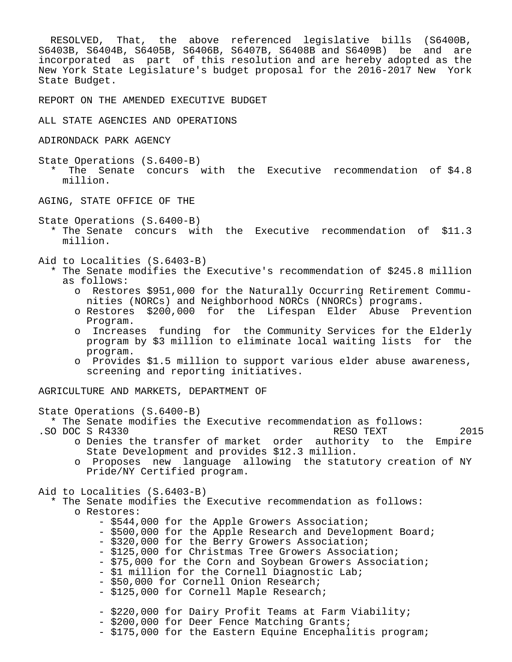RESOLVED, That, the above referenced legislative bills (S6400B, S6403B, S6404B, S6405B, S6406B, S6407B, S6408B and S6409B) be and are incorporated as part of this resolution and are hereby adopted as the New York State Legislature's budget proposal for the 2016-2017 New York State Budget.

REPORT ON THE AMENDED EXECUTIVE BUDGET

ALL STATE AGENCIES AND OPERATIONS

ADIRONDACK PARK AGENCY

State Operations (S.6400-B) \* The Senate concurs with the Executive recommendation of \$4.8 million.

AGING, STATE OFFICE OF THE

State Operations (S.6400-B)

 \* The Senate concurs with the Executive recommendation of \$11.3 million.

Aid to Localities (S.6403-B)

- \* The Senate modifies the Executive's recommendation of \$245.8 million as follows:
	- o Restores \$951,000 for the Naturally Occurring Retirement Commu nities (NORCs) and Neighborhood NORCs (NNORCs) programs.
	- o Restores \$200,000 for the Lifespan Elder Abuse Prevention Program.
	- o Increases funding for the Community Services for the Elderly program by \$3 million to eliminate local waiting lists for the program.
	- o Provides \$1.5 million to support various elder abuse awareness, screening and reporting initiatives.

AGRICULTURE AND MARKETS, DEPARTMENT OF

State Operations (S.6400-B)

\* The Senate modifies the Executive recommendation as follows:<br>O DOC S R4330 RESO TEXT

- 
- .SO DOC S R4330 RESO TEXT o Denies the transfer of market order authority to the Empire
	- State Development and provides \$12.3 million.
	- o Proposes new language allowing the statutory creation of NY Pride/NY Certified program.

Aid to Localities (S.6403-B)

 \* The Senate modifies the Executive recommendation as follows: o Restores:

- \$544,000 for the Apple Growers Association;
- \$500,000 for the Apple Research and Development Board;
- \$320,000 for the Berry Growers Association;
- \$125,000 for Christmas Tree Growers Association;
- \$75,000 for the Corn and Soybean Growers Association;
- \$1 million for the Cornell Diagnostic Lab;
- \$50,000 for Cornell Onion Research;
- \$125,000 for Cornell Maple Research;
- \$220,000 for Dairy Profit Teams at Farm Viability;
- \$200,000 for Deer Fence Matching Grants;
- \$175,000 for the Eastern Equine Encephalitis program;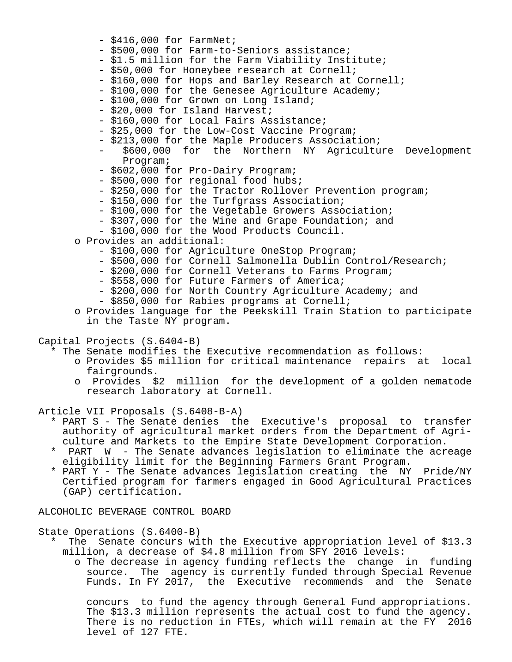- $-$  \$416,000 for FarmNet;
- \$500,000 for Farm-to-Seniors assistance;
- \$1.5 million for the Farm Viability Institute;
- \$50,000 for Honeybee research at Cornell;
- \$160,000 for Hops and Barley Research at Cornell;
- \$100,000 for the Genesee Agriculture Academy;
- \$100,000 for Grown on Long Island;
- \$20,000 for Island Harvest;
- \$160,000 for Local Fairs Assistance;
- \$25,000 for the Low-Cost Vaccine Program;
- \$213,000 for the Maple Producers Association;
- \$600,000 for the Northern NY Agriculture Development Program;
- \$602,000 for Pro-Dairy Program;
- \$500,000 for regional food hubs;
- \$250,000 for the Tractor Rollover Prevention program;
- \$150,000 for the Turfgrass Association;
- \$100,000 for the Vegetable Growers Association;
- \$307,000 for the Wine and Grape Foundation; and
- \$100,000 for the Wood Products Council.
- o Provides an additional:
	- \$100,000 for Agriculture OneStop Program;
	- \$500,000 for Cornell Salmonella Dublin Control/Research;
	- \$200,000 for Cornell Veterans to Farms Program;
	- \$558,000 for Future Farmers of America;
	- \$200,000 for North Country Agriculture Academy; and
	- \$850,000 for Rabies programs at Cornell;
- o Provides language for the Peekskill Train Station to participate in the Taste NY program.

Capital Projects (S.6404-B)

- \* The Senate modifies the Executive recommendation as follows:
	- o Provides \$5 million for critical maintenance repairs at local fairgrounds.
	- o Provides \$2 million for the development of a golden nematode research laboratory at Cornell.

Article VII Proposals (S.6408-B-A)

- \* PART S The Senate denies the Executive's proposal to transfer authority of agricultural market orders from the Department of Agri culture and Markets to the Empire State Development Corporation.
- PART W The Senate advances legislation to eliminate the acreage eligibility limit for the Beginning Farmers Grant Program.
- \* PART Y The Senate advances legislation creating the NY Pride/NY Certified program for farmers engaged in Good Agricultural Practices (GAP) certification.

ALCOHOLIC BEVERAGE CONTROL BOARD

State Operations (S.6400-B)

- The Senate concurs with the Executive appropriation level of \$13.3 million, a decrease of \$4.8 million from SFY 2016 levels:
	- o The decrease in agency funding reflects the change in funding source. The agency is currently funded through Special Revenue Funds. In FY 2017, the Executive recommends and the Senate

 concurs to fund the agency through General Fund appropriations. The \$13.3 million represents the actual cost to fund the agency. There is no reduction in FTEs, which will remain at the FY 2016 level of 127 FTE.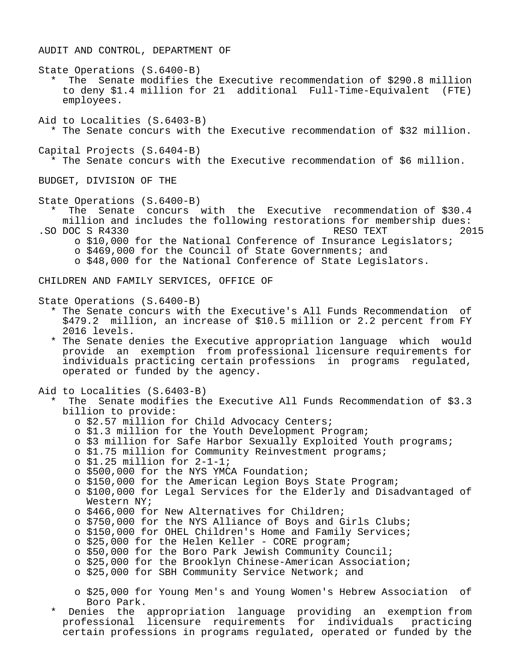AUDIT AND CONTROL, DEPARTMENT OF

State Operations (S.6400-B)

The Senate modifies the Executive recommendation of \$290.8 million to deny \$1.4 million for 21 additional Full-Time-Equivalent (FTE) employees.

Aid to Localities (S.6403-B) \* The Senate concurs with the Executive recommendation of \$32 million.

Capital Projects (S.6404-B) \* The Senate concurs with the Executive recommendation of \$6 million.

BUDGET, DIVISION OF THE

State Operations (S.6400-B)

The Senate concurs with the Executive recommendation of \$30.4 million and includes the following restorations for membership dues:<br>DOC S R4330 RESO TEXT 2015 .SO DOC S R4330 RESO TEXT o \$10,000 for the National Conference of Insurance Legislators;

o \$469,000 for the Council of State Governments; and

o \$48,000 for the National Conference of State Legislators.

CHILDREN AND FAMILY SERVICES, OFFICE OF

State Operations (S.6400-B)

- \* The Senate concurs with the Executive's All Funds Recommendation of \$479.2 million, an increase of \$10.5 million or 2.2 percent from FY 2016 levels.
- \* The Senate denies the Executive appropriation language which would provide an exemption from professional licensure requirements for individuals practicing certain professions in programs regulated, operated or funded by the agency.

Aid to Localities (S.6403-B)

- The Senate modifies the Executive All Funds Recommendation of \$3.3 billion to provide:
	- o \$2.57 million for Child Advocacy Centers;
	- o \$1.3 million for the Youth Development Program;
	- o \$3 million for Safe Harbor Sexually Exploited Youth programs;
	- o \$1.75 million for Community Reinvestment programs;
	- o \$1.25 million for 2-1-1;
	- o \$500,000 for the NYS YMCA Foundation;
	- o \$150,000 for the American Legion Boys State Program;

 o \$100,000 for Legal Services for the Elderly and Disadvantaged of Western NY;

- o \$466,000 for New Alternatives for Children;
- o \$750,000 for the NYS Alliance of Boys and Girls Clubs;
- o \$150,000 for OHEL Children's Home and Family Services;
- o \$25,000 for the Helen Keller CORE program;
- o \$50,000 for the Boro Park Jewish Community Council;
- o \$25,000 for the Brooklyn Chinese-American Association;
- o \$25,000 for SBH Community Service Network; and

 o \$25,000 for Young Men's and Young Women's Hebrew Association of Boro Park.

Denies the appropriation language providing an exemption from professional licensure requirements for individuals practicing certain professions in programs regulated, operated or funded by the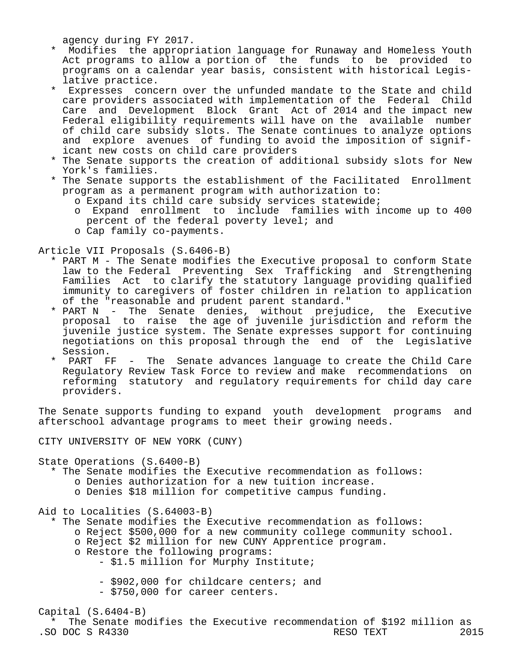agency during FY 2017.

- \* Modifies the appropriation language for Runaway and Homeless Youth Act programs to allow a portion of the funds to be provided to programs on a calendar year basis, consistent with historical Legis lative practice.<br>\* Expresses const
- Expresses concern over the unfunded mandate to the State and child care providers associated with implementation of the Federal Child Care and Development Block Grant Act of 2014 and the impact new Federal eligibility requirements will have on the available number of child care subsidy slots. The Senate continues to analyze options and explore avenues of funding to avoid the imposition of signif icant new costs on child care providers
- \* The Senate supports the creation of additional subsidy slots for New York's families.
- \* The Senate supports the establishment of the Facilitated Enrollment program as a permanent program with authorization to:
	- o Expand its child care subsidy services statewide;
	- o Expand enrollment to include families with income up to 400 percent of the federal poverty level; and
	- o Cap family co-payments.

Article VII Proposals (S.6406-B)

- \* PART M The Senate modifies the Executive proposal to conform State law to the Federal Preventing Sex Trafficking and Strengthening Families Act to clarify the statutory language providing qualified immunity to caregivers of foster children in relation to application of the "reasonable and prudent parent standard."
- \* PART N The Senate denies, without prejudice, the Executive proposal to raise the age of juvenile jurisdiction and reform the juvenile justice system. The Senate expresses support for continuing negotiations on this proposal through the end of the Legislative Session.
	- PART FF The Senate advances language to create the Child Care Regulatory Review Task Force to review and make recommendations on reforming statutory and regulatory requirements for child day care providers.

The Senate supports funding to expand youth development programs and afterschool advantage programs to meet their growing needs.

CITY UNIVERSITY OF NEW YORK (CUNY)

State Operations (S.6400-B)

- \* The Senate modifies the Executive recommendation as follows:
	- o Denies authorization for a new tuition increase.
	- o Denies \$18 million for competitive campus funding.

Aid to Localities (S.64003-B)

- \* The Senate modifies the Executive recommendation as follows:
	- o Reject \$500,000 for a new community college community school.
		- o Reject \$2 million for new CUNY Apprentice program.
		- o Restore the following programs:

- \$1.5 million for Murphy Institute;

- \$902,000 for childcare centers; and
- \$750,000 for career centers.

# Capital (S.6404-B)

 \* The Senate modifies the Executive recommendation of \$192 million as .SO DOC S R4330 RESO TEXT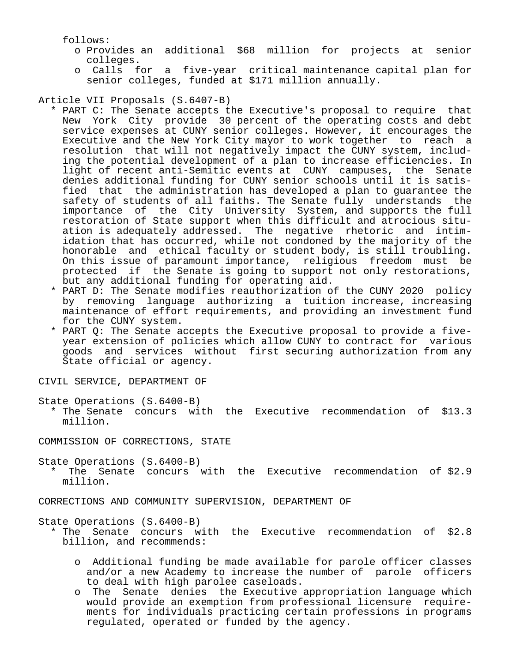follows:

- o Provides an additional \$68 million for projects at senior colleges.
- o Calls for a five-year critical maintenance capital plan for senior colleges, funded at \$171 million annually.

Article VII Proposals (S.6407-B)

- \* PART C: The Senate accepts the Executive's proposal to require that New York City provide 30 percent of the operating costs and debt service expenses at CUNY senior colleges. However, it encourages the Executive and the New York City mayor to work together to reach a resolution that will not negatively impact the CUNY system, includ ing the potential development of a plan to increase efficiencies. In light of recent anti-Semitic events at CUNY campuses, the Senate denies additional funding for CUNY senior schools until it is satis fied that the administration has developed a plan to guarantee the safety of students of all faiths. The Senate fully understands the importance of the City University System, and supports the full restoration of State support when this difficult and atrocious situ ation is adequately addressed. The negative rhetoric and intim idation that has occurred, while not condoned by the majority of the honorable and ethical faculty or student body, is still troubling. On this issue of paramount importance, religious freedom must be protected if the Senate is going to support not only restorations, but any additional funding for operating aid.
	- \* PART D: The Senate modifies reauthorization of the CUNY 2020 policy by removing language authorizing a tuition increase, increasing maintenance of effort requirements, and providing an investment fund for the CUNY system.
	- \* PART Q: The Senate accepts the Executive proposal to provide a five year extension of policies which allow CUNY to contract for various goods and services without first securing authorization from any State official or agency.

CIVIL SERVICE, DEPARTMENT OF

State Operations (S.6400-B)

 \* The Senate concurs with the Executive recommendation of \$13.3 million.

COMMISSION OF CORRECTIONS, STATE

State Operations (S.6400-B)

The Senate concurs with the Executive recommendation of \$2.9 million.

CORRECTIONS AND COMMUNITY SUPERVISION, DEPARTMENT OF

State Operations (S.6400-B)

- \* The Senate concurs with the Executive recommendation of \$2.8 billion, and recommends:
	- o Additional funding be made available for parole officer classes and/or a new Academy to increase the number of parole officers to deal with high parolee caseloads.
	- o The Senate denies the Executive appropriation language which would provide an exemption from professional licensure require ments for individuals practicing certain professions in programs regulated, operated or funded by the agency.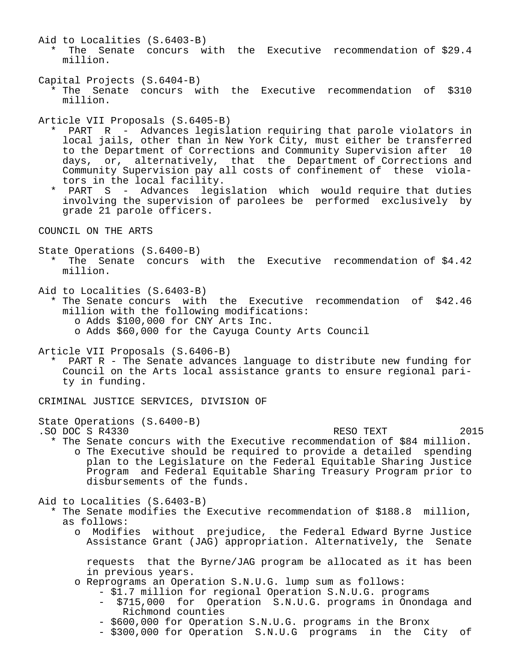- Aid to Localities (S.6403-B) \* The Senate concurs with the Executive recommendation of \$29.4 million.
- Capital Projects (S.6404-B) \* The Senate concurs with the Executive recommendation of \$310 million.

Article VII Proposals (S.6405-B)

- \* PART R Advances legislation requiring that parole violators in local jails, other than in New York City, must either be transferred to the Department of Corrections and Community Supervision after 10 days, or, alternatively, that the Department of Corrections and Community Supervision pay all costs of confinement of these viola tors in the local facility.
- PART S Advances legislation which would require that duties involving the supervision of parolees be performed exclusively by grade 21 parole officers.

COUNCIL ON THE ARTS

State Operations (S.6400-B)

- \* The Senate concurs with the Executive recommendation of \$4.42 million.
- Aid to Localities (S.6403-B)
	- \* The Senate concurs with the Executive recommendation of \$42.46 million with the following modifications:
		- o Adds \$100,000 for CNY Arts Inc.
		- o Adds \$60,000 for the Cayuga County Arts Council

Article VII Proposals (S.6406-B)

 \* PART R - The Senate advances language to distribute new funding for Council on the Arts local assistance grants to ensure regional pari ty in funding.

CRIMINAL JUSTICE SERVICES, DIVISION OF

State Operations (S.6400-B)

- .SO DOC S R4330 RESO TEXT 2015
	- \* The Senate concurs with the Executive recommendation of \$84 million. o The Executive should be required to provide a detailed spending plan to the Legislature on the Federal Equitable Sharing Justice Program and Federal Equitable Sharing Treasury Program prior to disbursements of the funds.

Aid to Localities (S.6403-B)

- \* The Senate modifies the Executive recommendation of \$188.8 million, as follows:
	- o Modifies without prejudice, the Federal Edward Byrne Justice Assistance Grant (JAG) appropriation. Alternatively, the Senate

 requests that the Byrne/JAG program be allocated as it has been in previous years.

- o Reprograms an Operation S.N.U.G. lump sum as follows:
	- \$1.7 million for regional Operation S.N.U.G. programs
	- \$715,000 for Operation S.N.U.G. programs in Onondaga and Richmond counties
	- \$600,000 for Operation S.N.U.G. programs in the Bronx
	- \$300,000 for Operation S.N.U.G programs in the City of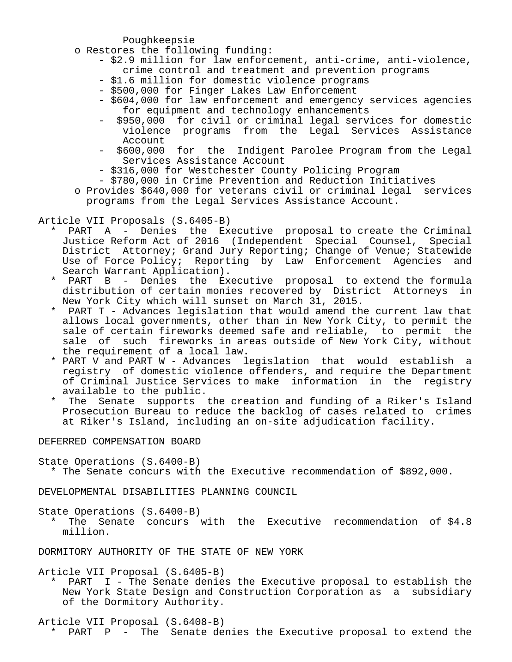Poughkeepsie

- o Restores the following funding:
	- \$2.9 million for law enforcement, anti-crime, anti-violence, crime control and treatment and prevention programs
	- \$1.6 million for domestic violence programs
	- \$500,000 for Finger Lakes Law Enforcement
	- \$604,000 for law enforcement and emergency services agencies for equipment and technology enhancements
	- \$950,000 for civil or criminal legal services for domestic violence programs from the Legal Services Assistance Account<br>5600,000 -
	- for the Indigent Parolee Program from the Legal Services Assistance Account
	- \$316,000 for Westchester County Policing Program
	- \$780,000 in Crime Prevention and Reduction Initiatives
- o Provides \$640,000 for veterans civil or criminal legal services programs from the Legal Services Assistance Account.

Article VII Proposals (S.6405-B)

- PART A Denies the Executive proposal to create the Criminal Justice Reform Act of 2016 (Independent Special Counsel, Special District Attorney; Grand Jury Reporting; Change of Venue; Statewide Use of Force Policy; Reporting by Law Enforcement Agencies and Search Warrant Application).
	- PART B Denies the Executive proposal to extend the formula distribution of certain monies recovered by District Attorneys in New York City which will sunset on March 31, 2015.<br>\* PART T - Advances legislation that would amend the
	- PART T Advances legislation that would amend the current law that allows local governments, other than in New York City, to permit the sale of certain fireworks deemed safe and reliable, to permit the sale of such fireworks in areas outside of New York City, without the requirement of a local law.
	- \* PART V and PART W Advances legislation that would establish a registry of domestic violence offenders, and require the Department of Criminal Justice Services to make information in the registry available to the public.
	- \* The Senate supports the creation and funding of a Riker's Island Prosecution Bureau to reduce the backlog of cases related to crimes at Riker's Island, including an on-site adjudication facility.

## DEFERRED COMPENSATION BOARD

State Operations (S.6400-B)

\* The Senate concurs with the Executive recommendation of \$892,000.

DEVELOPMENTAL DISABILITIES PLANNING COUNCIL

State Operations (S.6400-B)

The Senate concurs with the Executive recommendation of \$4.8 million.

DORMITORY AUTHORITY OF THE STATE OF NEW YORK

Article VII Proposal (S.6405-B)

 \* PART I - The Senate denies the Executive proposal to establish the New York State Design and Construction Corporation as a subsidiary of the Dormitory Authority.

Article VII Proposal (S.6408-B)

\* PART P - The Senate denies the Executive proposal to extend the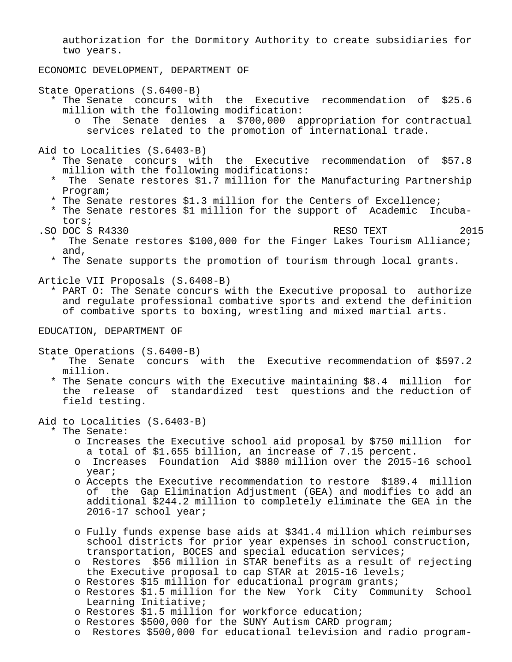authorization for the Dormitory Authority to create subsidiaries for two years.

ECONOMIC DEVELOPMENT, DEPARTMENT OF

State Operations (S.6400-B)

- \* The Senate concurs with the Executive recommendation of \$25.6 million with the following modification:
	- o The Senate denies a \$700,000 appropriation for contractual services related to the promotion of international trade.

Aid to Localities (S.6403-B)

- \* The Senate concurs with the Executive recommendation of \$57.8 million with the following modifications:
- \* The Senate restores \$1.7 million for the Manufacturing Partnership Program;
- \* The Senate restores \$1.3 million for the Centers of Excellence;
- \* The Senate restores \$1 million for the support of Academic Incuba tors;
- .SO DOC S R4330 RESO TEXT 2015
	- \* The Senate restores \$100,000 for the Finger Lakes Tourism Alliance; and,
	- \* The Senate supports the promotion of tourism through local grants.

Article VII Proposals (S.6408-B)

 \* PART O: The Senate concurs with the Executive proposal to authorize and regulate professional combative sports and extend the definition of combative sports to boxing, wrestling and mixed martial arts.

EDUCATION, DEPARTMENT OF

State Operations (S.6400-B)

- \* The Senate concurs with the Executive recommendation of \$597.2 million.
- \* The Senate concurs with the Executive maintaining \$8.4 million for the release of standardized test questions and the reduction of field testing.

Aid to Localities (S.6403-B)

\* The Senate:

- o Increases the Executive school aid proposal by \$750 million for a total of \$1.655 billion, an increase of 7.15 percent.
- o Increases Foundation Aid \$880 million over the 2015-16 school year;
- o Accepts the Executive recommendation to restore \$189.4 million of the Gap Elimination Adjustment (GEA) and modifies to add an additional \$244.2 million to completely eliminate the GEA in the 2016-17 school year;
- o Fully funds expense base aids at \$341.4 million which reimburses school districts for prior year expenses in school construction, transportation, BOCES and special education services;
- o Restores \$56 million in STAR benefits as a result of rejecting the Executive proposal to cap STAR at 2015-16 levels;
- o Restores \$15 million for educational program grants;
- o Restores \$1.5 million for the New York City Community School Learning Initiative;
- o Restores \$1.5 million for workforce education;
- o Restores \$500,000 for the SUNY Autism CARD program;
- o Restores \$500,000 for educational television and radio program-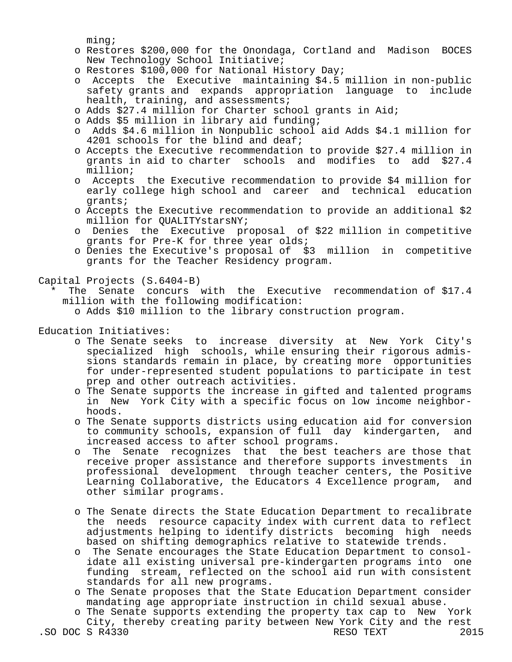ming;

- o Restores \$200,000 for the Onondaga, Cortland and Madison BOCES New Technology School Initiative;
- o Restores \$100,000 for National History Day;
- o Accepts the Executive maintaining \$4.5 million in non-public safety grants and expands appropriation language to include health, training, and assessments;
- o Adds \$27.4 million for Charter school grants in Aid;
- o Adds \$5 million in library aid funding;
- o Adds \$4.6 million in Nonpublic school aid Adds \$4.1 million for 4201 schools for the blind and deaf;
- o Accepts the Executive recommendation to provide \$27.4 million in grants in aid to charter schools and modifies to add \$27.4 million;
- o Accepts the Executive recommendation to provide \$4 million for early college high school and career and technical education grants;
- o Accepts the Executive recommendation to provide an additional \$2 million for QUALITYstarsNY;
- o Denies the Executive proposal of \$22 million in competitive grants for Pre-K for three year olds;
- o Denies the Executive's proposal of \$3 million in competitive grants for the Teacher Residency program.

Capital Projects (S.6404-B)

The Senate concurs with the Executive recommendation of  $$17.4$ million with the following modification:

o Adds \$10 million to the library construction program.

Education Initiatives:

- o The Senate seeks to increase diversity at New York City's specialized high schools, while ensuring their rigorous admis sions standards remain in place, by creating more opportunities for under-represented student populations to participate in test prep and other outreach activities.
- o The Senate supports the increase in gifted and talented programs in New York City with a specific focus on low income neighbor hoods.
- o The Senate supports districts using education aid for conversion to community schools, expansion of full day kindergarten, and increased access to after school programs.
- o The Senate recognizes that the best teachers are those that receive proper assistance and therefore supports investments in professional development through teacher centers, the Positive Learning Collaborative, the Educators 4 Excellence program, and other similar programs.
- o The Senate directs the State Education Department to recalibrate the needs resource capacity index with current data to reflect adjustments helping to identify districts becoming high needs based on shifting demographics relative to statewide trends.
- o The Senate encourages the State Education Department to consol idate all existing universal pre-kindergarten programs into one funding stream, reflected on the school aid run with consistent standards for all new programs.
- o The Senate proposes that the State Education Department consider mandating age appropriate instruction in child sexual abuse.
- o The Senate supports extending the property tax cap to New York City, thereby creating parity between New York City and the rest<br>S R4330 RESO TEXT 2015 .SO DOC S R4330 RESO TEXT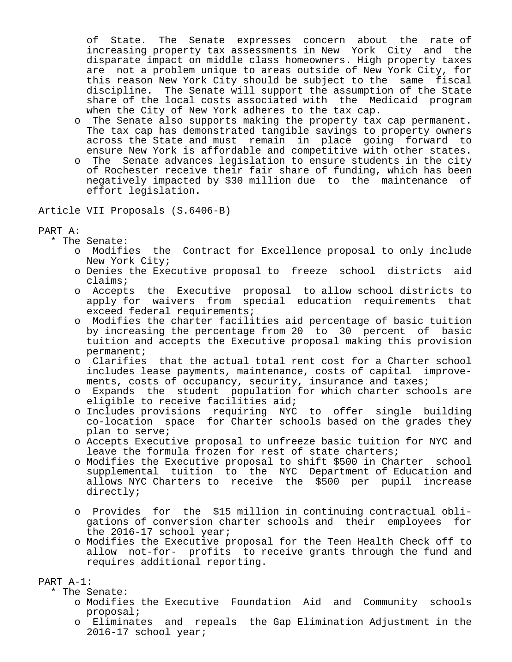of State. The Senate expresses concern about the rate of increasing property tax assessments in New York City and the disparate impact on middle class homeowners. High property taxes are not a problem unique to areas outside of New York City, for this reason New York City should be subject to the same fiscal discipline. The Senate will support the assumption of the State share of the local costs associated with the Medicaid program when the City of New York adheres to the tax cap.

- o The Senate also supports making the property tax cap permanent. The tax cap has demonstrated tangible savings to property owners across the State and must remain in place going forward to ensure New York is affordable and competitive with other states.
- o The Senate advances legislation to ensure students in the city of Rochester receive their fair share of funding, which has been negatively impacted by \$30 million due to the maintenance of effort legislation.

Article VII Proposals (S.6406-B)

### PART A:

\* The Senate:

- o Modifies the Contract for Excellence proposal to only include New York City;
- o Denies the Executive proposal to freeze school districts aid claims;
- o Accepts the Executive proposal to allow school districts to apply for waivers from special education requirements that exceed federal requirements;
- o Modifies the charter facilities aid percentage of basic tuition by increasing the percentage from 20 to 30 percent of basic tuition and accepts the Executive proposal making this provision permanent;
- o Clarifies that the actual total rent cost for a Charter school includes lease payments, maintenance, costs of capital improve ments, costs of occupancy, security, insurance and taxes;
- o Expands the student population for which charter schools are eligible to receive facilities aid;
- o Includes provisions requiring NYC to offer single building co-location space for Charter schools based on the grades they plan to serve;
- o Accepts Executive proposal to unfreeze basic tuition for NYC and leave the formula frozen for rest of state charters;
- o Modifies the Executive proposal to shift \$500 in Charter school supplemental tuition to the NYC Department of Education and allows NYC Charters to receive the \$500 per pupil increase directly;
- o Provides for the \$15 million in continuing contractual obli gations of conversion charter schools and their employees for the 2016-17 school year;
- o Modifies the Executive proposal for the Teen Health Check off to allow not-for- profits to receive grants through the fund and requires additional reporting.

## PART A-1:

- \* The Senate:
	- o Modifies the Executive Foundation Aid and Community schools proposal;
	- o Eliminates and repeals the Gap Elimination Adjustment in the 2016-17 school year;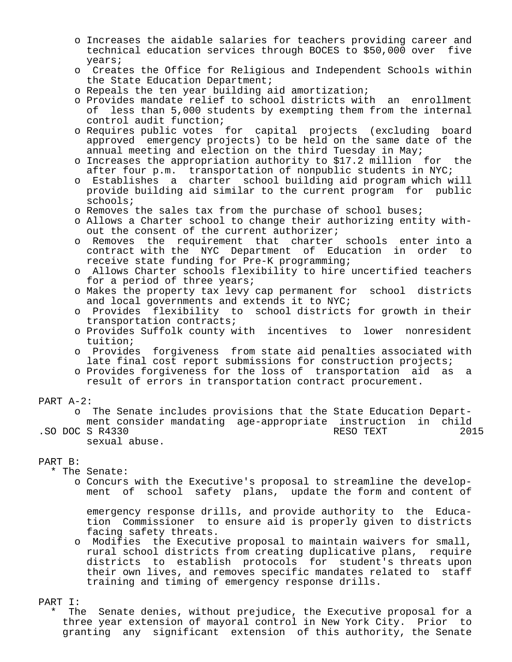- o Increases the aidable salaries for teachers providing career and technical education services through BOCES to \$50,000 over five years;
- o Creates the Office for Religious and Independent Schools within the State Education Department;
- o Repeals the ten year building aid amortization;
- o Provides mandate relief to school districts with an enrollment of less than 5,000 students by exempting them from the internal control audit function;
- o Requires public votes for capital projects (excluding board approved emergency projects) to be held on the same date of the annual meeting and election on the third Tuesday in May;
- o Increases the appropriation authority to \$17.2 million for the after four p.m. transportation of nonpublic students in NYC;
- o Establishes a charter school building aid program which will provide building aid similar to the current program for public schools;
- o Removes the sales tax from the purchase of school buses;
- o Allows a Charter school to change their authorizing entity with out the consent of the current authorizer;
- o Removes the requirement that charter schools enter into a contract with the NYC Department of Education in order to receive state funding for Pre-K programming;
- o Allows Charter schools flexibility to hire uncertified teachers for a period of three years;
- o Makes the property tax levy cap permanent for school districts and local governments and extends it to NYC;
- o Provides flexibility to school districts for growth in their transportation contracts;
- o Provides Suffolk county with incentives to lower nonresident tuition;
- o Provides forgiveness from state aid penalties associated with late final cost report submissions for construction projects;
- o Provides forgiveness for the loss of transportation aid as a result of errors in transportation contract procurement.
- PART A-2:
- o The Senate includes provisions that the State Education Depart ment consider mandating age-appropriate instruction in child .SO DOC S R4330 sexual abuse.

### PART B:

- \* The Senate:
	- o Concurs with the Executive's proposal to streamline the develop ment of school safety plans, update the form and content of

 emergency response drills, and provide authority to the Educa tion Commissioner to ensure aid is properly given to districts facing safety threats.

 o Modifies the Executive proposal to maintain waivers for small, rural school districts from creating duplicative plans, require districts to establish protocols for student's threats upon their own lives, and removes specific mandates related to staff training and timing of emergency response drills.

#### PART I:

The Senate denies, without prejudice, the Executive proposal for a three year extension of mayoral control in New York City. Prior to granting any significant extension of this authority, the Senate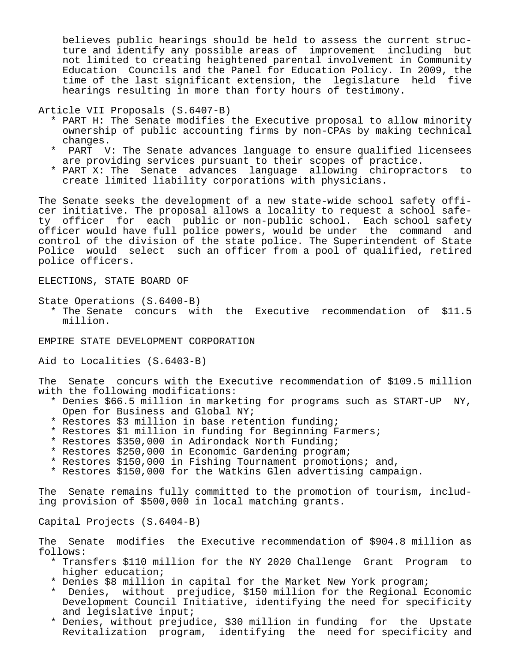believes public hearings should be held to assess the current struc ture and identify any possible areas of improvement including but not limited to creating heightened parental involvement in Community Education Councils and the Panel for Education Policy. In 2009, the time of the last significant extension, the legislature held five hearings resulting in more than forty hours of testimony.

Article VII Proposals (S.6407-B)

- \* PART H: The Senate modifies the Executive proposal to allow minority ownership of public accounting firms by non-CPAs by making technical changes.
- PART V: The Senate advances language to ensure qualified licensees are providing services pursuant to their scopes of practice.
- \* PART X: The Senate advances language allowing chiropractors to create limited liability corporations with physicians.

The Senate seeks the development of a new state-wide school safety officer initiative. The proposal allows a locality to request a school safety officer for each public or non-public school. Each school safety officer would have full police powers, would be under the command and control of the division of the state police. The Superintendent of State Police would select such an officer from a pool of qualified, retired police officers.

ELECTIONS, STATE BOARD OF

State Operations (S.6400-B) \* The Senate concurs with the Executive recommendation of \$11.5 million.

EMPIRE STATE DEVELOPMENT CORPORATION

Aid to Localities (S.6403-B)

The Senate concurs with the Executive recommendation of \$109.5 million with the following modifications:

- \* Denies \$66.5 million in marketing for programs such as START-UP NY, Open for Business and Global NY;
- \* Restores \$3 million in base retention funding;
- \* Restores \$1 million in funding for Beginning Farmers;
- \* Restores \$350,000 in Adirondack North Funding;
- \* Restores \$250,000 in Economic Gardening program;
- \* Restores \$150,000 in Fishing Tournament promotions; and,
- \* Restores \$150,000 for the Watkins Glen advertising campaign.

The Senate remains fully committed to the promotion of tourism, including provision of \$500,000 in local matching grants.

Capital Projects (S.6404-B)

The Senate modifies the Executive recommendation of \$904.8 million as follows:

- \* Transfers \$110 million for the NY 2020 Challenge Grant Program to higher education;
- \* Denies \$8 million in capital for the Market New York program;
- Denies, without prejudice, \$150 million for the Regional Economic Development Council Initiative, identifying the need for specificity and legislative input;
- \* Denies, without prejudice, \$30 million in funding for the Upstate Revitalization program, identifying the need for specificity and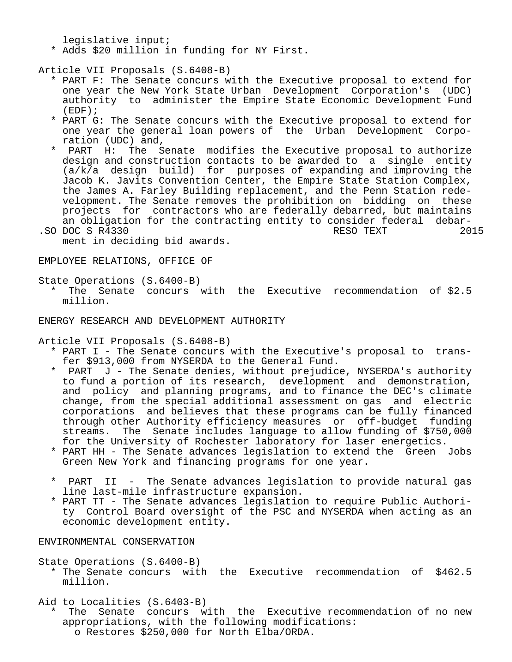legislative input;

\* Adds \$20 million in funding for NY First.

Article VII Proposals (S.6408-B)

- \* PART F: The Senate concurs with the Executive proposal to extend for one year the New York State Urban Development Corporation's (UDC) authority to administer the Empire State Economic Development Fund (EDF);
- \* PART G: The Senate concurs with the Executive proposal to extend for one year the general loan powers of the Urban Development Corpo ration (UDC) and,<br>PART H: The S
- The Senate modifies the Executive proposal to authorize design and construction contacts to be awarded to a single entity (a/k/a design build) for purposes of expanding and improving the Jacob K. Javits Convention Center, the Empire State Station Complex, the James A. Farley Building replacement, and the Penn Station rede velopment. The Senate removes the prohibition on bidding on these projects for contractors who are federally debarred, but maintains an obligation for the contracting entity to consider federal debar-<br>DOC S R4330 2015
- .SO DOC S R4330 RESO TEXT ment in deciding bid awards.

EMPLOYEE RELATIONS, OFFICE OF

State Operations (S.6400-B)

 \* The Senate concurs with the Executive recommendation of \$2.5 million.

ENERGY RESEARCH AND DEVELOPMENT AUTHORITY

Article VII Proposals (S.6408-B)

- \* PART I The Senate concurs with the Executive's proposal to trans fer \$913,000 from NYSERDA to the General Fund.<br>\* PART J - The Senate denies, without prejudic
- PART J The Senate denies, without prejudice, NYSERDA's authority to fund a portion of its research, development and demonstration, and policy and planning programs, and to finance the DEC's climate change, from the special additional assessment on gas and electric corporations and believes that these programs can be fully financed through other Authority efficiency measures or off-budget funding streams. The Senate includes language to allow funding of \$750,000 for the University of Rochester laboratory for laser energetics.
- \* PART HH The Senate advances legislation to extend the Green Jobs Green New York and financing programs for one year.
- \* PART II The Senate advances legislation to provide natural gas line last-mile infrastructure expansion.
- \* PART TT The Senate advances legislation to require Public Authori ty Control Board oversight of the PSC and NYSERDA when acting as an economic development entity.

ENVIRONMENTAL CONSERVATION

State Operations (S.6400-B)

 \* The Senate concurs with the Executive recommendation of \$462.5 million.

Aid to Localities (S.6403-B)

The Senate concurs with the Executive recommendation of no new appropriations, with the following modifications: o Restores \$250,000 for North Elba/ORDA.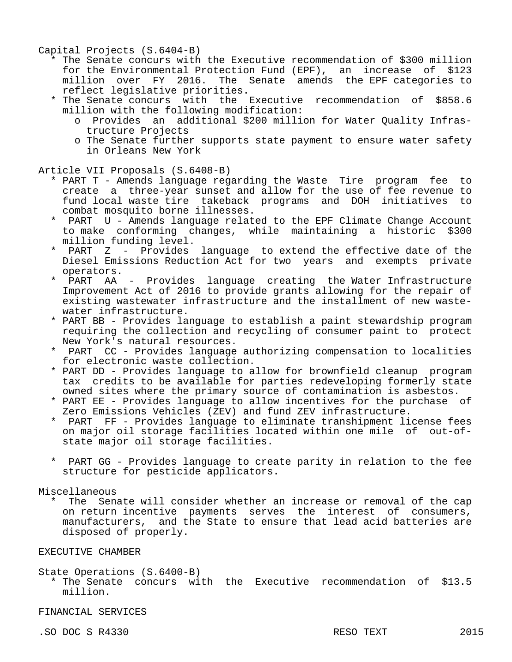Capital Projects (S.6404-B)

- \* The Senate concurs with the Executive recommendation of \$300 million for the Environmental Protection Fund (EPF), an increase of \$123 million over FY 2016. The Senate amends the EPF categories to reflect legislative priorities.
- \* The Senate concurs with the Executive recommendation of \$858.6 million with the following modification:
	- o Provides an additional \$200 million for Water Quality Infras tructure Projects
	- o The Senate further supports state payment to ensure water safety in Orleans New York

Article VII Proposals (S.6408-B)

- \* PART T Amends language regarding the Waste Tire program fee to create a three-year sunset and allow for the use of fee revenue to fund local waste tire takeback programs and DOH initiatives to combat mosquito borne illnesses.
- PART U Amends language related to the EPF Climate Change Account to make conforming changes, while maintaining a historic \$300 million funding level.
- PART Z Provides language to extend the effective date of the Diesel Emissions Reduction Act for two years and exempts private operators.
- PART AA Provides language creating the Water Infrastructure Improvement Act of 2016 to provide grants allowing for the repair of existing wastewater infrastructure and the installment of new waste water infrastructure.
- \* PART BB Provides language to establish a paint stewardship program requiring the collection and recycling of consumer paint to protect New York's natural resources.
- PART CC Provides language authorizing compensation to localities for electronic waste collection.
- \* PART DD Provides language to allow for brownfield cleanup program tax credits to be available for parties redeveloping formerly state owned sites where the primary source of contamination is asbestos.
- \* PART EE Provides language to allow incentives for the purchase of Zero Emissions Vehicles (ZEV) and fund ZEV infrastructure.
- PART FF Provides language to eliminate transhipment license fees on major oil storage facilities located within one mile of out-of state major oil storage facilities.
- PART GG Provides language to create parity in relation to the fee structure for pesticide applicators.

Miscellaneous

The Senate will consider whether an increase or removal of the cap on return incentive payments serves the interest of consumers, manufacturers, and the State to ensure that lead acid batteries are disposed of properly.

EXECUTIVE CHAMBER

State Operations (S.6400-B)

 \* The Senate concurs with the Executive recommendation of \$13.5 million.

FINANCIAL SERVICES

.SO DOC S R4330 RESO TEXT 2015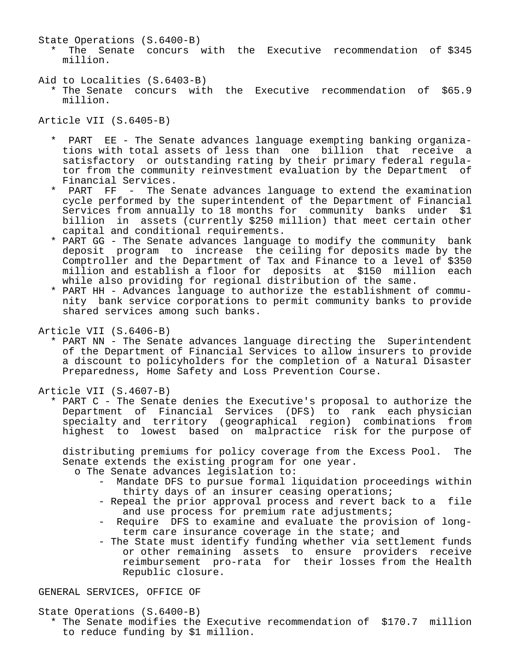State Operations (S.6400-B)

 \* The Senate concurs with the Executive recommendation of \$345 million.

Aid to Localities (S.6403-B)

 \* The Senate concurs with the Executive recommendation of \$65.9 million.

Article VII (S.6405-B)

- PART EE The Senate advances language exempting banking organiza tions with total assets of less than one billion that receive a satisfactory or outstanding rating by their primary federal regula tor from the community reinvestment evaluation by the Department of Financial Services.<br>PART FF - The S
- The Senate advances language to extend the examination cycle performed by the superintendent of the Department of Financial Services from annually to 18 months for community banks under \$1 billion in assets (currently \$250 million) that meet certain other capital and conditional requirements.
- \* PART GG The Senate advances language to modify the community bank deposit program to increase the ceiling for deposits made by the Comptroller and the Department of Tax and Finance to a level of \$350 million and establish a floor for deposits at \$150 million each while also providing for regional distribution of the same.
- \* PART HH Advances language to authorize the establishment of commu nity bank service corporations to permit community banks to provide shared services among such banks.

Article VII (S.6406-B)

 \* PART NN - The Senate advances language directing the Superintendent of the Department of Financial Services to allow insurers to provide a discount to policyholders for the completion of a Natural Disaster Preparedness, Home Safety and Loss Prevention Course.

Article VII (S.4607-B)

 \* PART C - The Senate denies the Executive's proposal to authorize the Department of Financial Services (DFS) to rank each physician specialty and territory (geographical region) combinations from highest to lowest based on malpractice risk for the purpose of

 distributing premiums for policy coverage from the Excess Pool. The Senate extends the existing program for one year.

- o The Senate advances legislation to:
	- Mandate DFS to pursue formal liquidation proceedings within thirty days of an insurer ceasing operations;
	- Repeal the prior approval process and revert back to a file and use process for premium rate adjustments;
	- Require DFS to examine and evaluate the provision of longterm care insurance coverage in the state; and
	- The State must identify funding whether via settlement funds or other remaining assets to ensure providers receive reimbursement pro-rata for their losses from the Health Republic closure.

GENERAL SERVICES, OFFICE OF

State Operations (S.6400-B)

 \* The Senate modifies the Executive recommendation of \$170.7 million to reduce funding by \$1 million.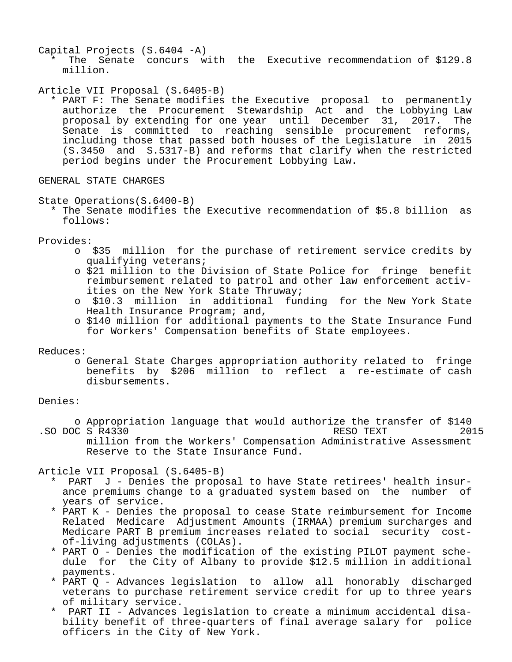Capital Projects (S.6404 -A)

 \* The Senate concurs with the Executive recommendation of \$129.8 million.

### Article VII Proposal (S.6405-B)

 \* PART F: The Senate modifies the Executive proposal to permanently authorize the Procurement Stewardship Act and the Lobbying Law proposal by extending for one year until December 31, 2017. The Senate is committed to reaching sensible procurement reforms, including those that passed both houses of the Legislature in 2015 (S.3450 and S.5317-B) and reforms that clarify when the restricted period begins under the Procurement Lobbying Law.

## GENERAL STATE CHARGES

#### State Operations(S.6400-B)

 \* The Senate modifies the Executive recommendation of \$5.8 billion as follows:

Provides:

- o \$35 million for the purchase of retirement service credits by qualifying veterans;
- o \$21 million to the Division of State Police for fringe benefit reimbursement related to patrol and other law enforcement activ ities on the New York State Thruway;
- o \$10.3 million in additional funding for the New York State Health Insurance Program; and,
- o \$140 million for additional payments to the State Insurance Fund for Workers' Compensation benefits of State employees.

Reduces:

 o General State Charges appropriation authority related to fringe benefits by \$206 million to reflect a re-estimate of cash disbursements.

### Denies:

o Appropriation language that would authorize the transfer of \$140<br>C S R4330 2015 .SO DOC S R4330 million from the Workers' Compensation Administrative Assessment Reserve to the State Insurance Fund.

Article VII Proposal (S.6405-B)

- PART J Denies the proposal to have State retirees' health insur ance premiums change to a graduated system based on the number of years of service.
- \* PART K Denies the proposal to cease State reimbursement for Income Related Medicare Adjustment Amounts (IRMAA) premium surcharges and Medicare PART B premium increases related to social security cost of-living adjustments (COLAs).
- \* PART O Denies the modification of the existing PILOT payment sche dule for the City of Albany to provide \$12.5 million in additional payments.
- \* PART Q Advances legislation to allow all honorably discharged veterans to purchase retirement service credit for up to three years of military service.
- \* PART II Advances legislation to create a minimum accidental disa bility benefit of three-quarters of final average salary for police officers in the City of New York.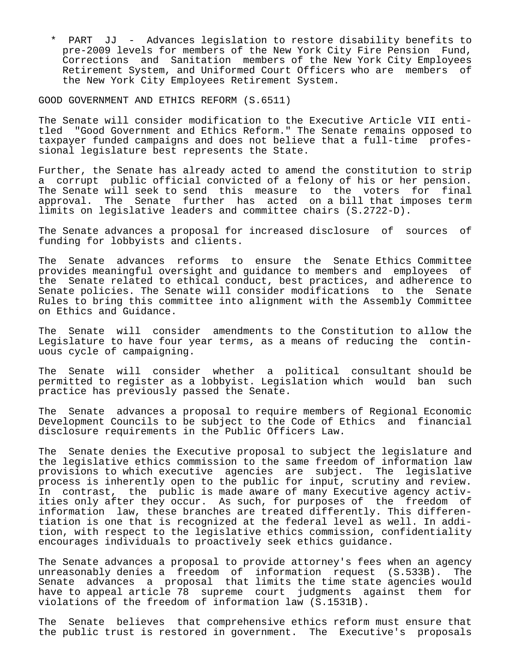\* PART JJ - Advances legislation to restore disability benefits to pre-2009 levels for members of the New York City Fire Pension Fund, Corrections and Sanitation members of the New York City Employees Retirement System, and Uniformed Court Officers who are members of the New York City Employees Retirement System.

GOOD GOVERNMENT AND ETHICS REFORM (S.6511)

The Senate will consider modification to the Executive Article VII entitled "Good Government and Ethics Reform." The Senate remains opposed to taxpayer funded campaigns and does not believe that a full-time professional legislature best represents the State.

Further, the Senate has already acted to amend the constitution to strip a corrupt public official convicted of a felony of his or her pension. The Senate will seek to send this measure to the voters for final approval. The Senate further has acted on a bill that imposes term limits on legislative leaders and committee chairs (S.2722-D).

The Senate advances a proposal for increased disclosure of sources of funding for lobbyists and clients.

The Senate advances reforms to ensure the Senate Ethics Committee provides meaningful oversight and guidance to members and employees of the Senate related to ethical conduct, best practices, and adherence to Senate policies. The Senate will consider modifications to the Senate Rules to bring this committee into alignment with the Assembly Committee on Ethics and Guidance.

The Senate will consider amendments to the Constitution to allow the Legislature to have four year terms, as a means of reducing the continuous cycle of campaigning.

The Senate will consider whether a political consultant should be permitted to register as a lobbyist. Legislation which would ban such practice has previously passed the Senate.

The Senate advances a proposal to require members of Regional Economic Development Councils to be subject to the Code of Ethics and financial disclosure requirements in the Public Officers Law.

The Senate denies the Executive proposal to subject the legislature and the legislative ethics commission to the same freedom of information law provisions to which executive agencies are subject. The legislative process is inherently open to the public for input, scrutiny and review. In contrast, the public is made aware of many Executive agency activities only after they occur. As such, for purposes of the freedom of information law, these branches are treated differently. This differentiation is one that is recognized at the federal level as well. In addition, with respect to the legislative ethics commission, confidentiality encourages individuals to proactively seek ethics guidance.

The Senate advances a proposal to provide attorney's fees when an agency unreasonably denies a freedom of information request (S.533B). The Senate advances a proposal that limits the time state agencies would have to appeal article 78 supreme court judgments against them for violations of the freedom of information law (S.1531B).

The Senate believes that comprehensive ethics reform must ensure that the public trust is restored in government. The Executive's proposals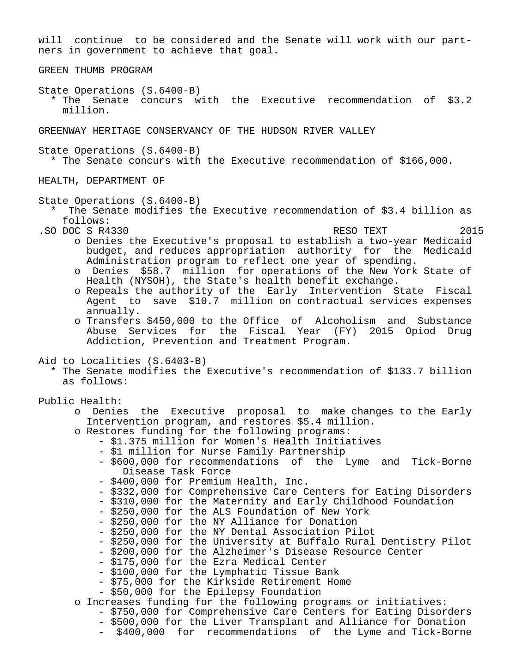will continue to be considered and the Senate will work with our partners in government to achieve that goal. GREEN THUMB PROGRAM State Operations (S.6400-B) \* The Senate concurs with the Executive recommendation of \$3.2 million. GREENWAY HERITAGE CONSERVANCY OF THE HUDSON RIVER VALLEY State Operations (S.6400-B) \* The Senate concurs with the Executive recommendation of \$166,000. HEALTH, DEPARTMENT OF State Operations (S.6400-B) The Senate modifies the Executive recommendation of \$3.4 billion as follows: .SO DOC S R4330 RESO TEXT 2015 o Denies the Executive's proposal to establish a two-year Medicaid budget, and reduces appropriation authority for the Medicaid Administration program to reflect one year of spending. o Denies \$58.7 million for operations of the New York State of Health (NYSOH), the State's health benefit exchange. o Repeals the authority of the Early Intervention State Fiscal Agent to save \$10.7 million on contractual services expenses annually. o Transfers \$450,000 to the Office of Alcoholism and Substance Abuse Services for the Fiscal Year (FY) 2015 Opiod Drug Addiction, Prevention and Treatment Program. Aid to Localities (S.6403-B) \* The Senate modifies the Executive's recommendation of \$133.7 billion as follows: Public Health: o Denies the Executive proposal to make changes to the Early Intervention program, and restores \$5.4 million. o Restores funding for the following programs: - \$1.375 million for Women's Health Initiatives - \$1 million for Nurse Family Partnership - \$600,000 for recommendations of the Lyme and Tick-Borne Disease Task Force - \$400,000 for Premium Health, Inc. - \$332,000 for Comprehensive Care Centers for Eating Disorders - \$310,000 for the Maternity and Early Childhood Foundation - \$250,000 for the ALS Foundation of New York - \$250,000 for the NY Alliance for Donation - \$250,000 for the NY Dental Association Pilot - \$250,000 for the University at Buffalo Rural Dentistry Pilot - \$200,000 for the Alzheimer's Disease Resource Center - \$175,000 for the Ezra Medical Center - \$100,000 for the Lymphatic Tissue Bank - \$75,000 for the Kirkside Retirement Home - \$50,000 for the Epilepsy Foundation o Increases funding for the following programs or initiatives: - \$750,000 for Comprehensive Care Centers for Eating Disorders

- \$500,000 for the Liver Transplant and Alliance for Donation

- \$400,000 for recommendations of the Lyme and Tick-Borne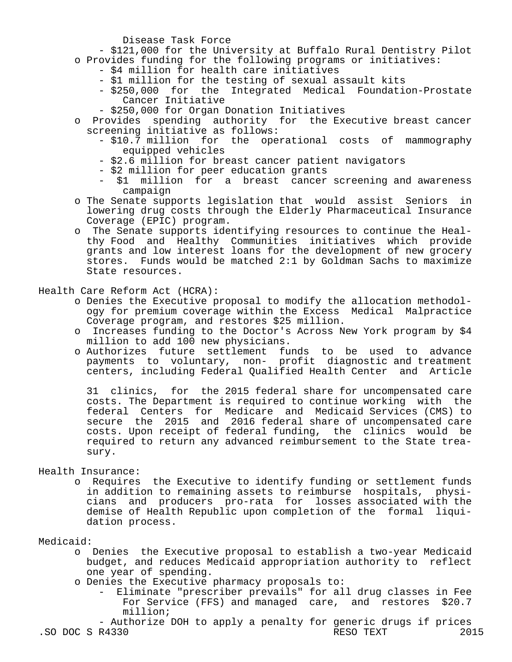Disease Task Force

- \$121,000 for the University at Buffalo Rural Dentistry Pilot
- o Provides funding for the following programs or initiatives:
	- \$4 million for health care initiatives
	- \$1 million for the testing of sexual assault kits
	- \$250,000 for the Integrated Medical Foundation-Prostate Cancer Initiative
	- \$250,000 for Organ Donation Initiatives
- o Provides spending authority for the Executive breast cancer screening initiative as follows:
	- \$10.7 million for the operational costs of mammography equipped vehicles
	- \$2.6 million for breast cancer patient navigators
	- \$2 million for peer education grants
	- \$1 million for a breast cancer screening and awareness campaign
- o The Senate supports legislation that would assist Seniors in lowering drug costs through the Elderly Pharmaceutical Insurance Coverage (EPIC) program.
- o The Senate supports identifying resources to continue the Heal thy Food and Healthy Communities initiatives which provide grants and low interest loans for the development of new grocery stores. Funds would be matched 2:1 by Goldman Sachs to maximize State resources.

### Health Care Reform Act (HCRA):

- o Denies the Executive proposal to modify the allocation methodol ogy for premium coverage within the Excess Medical Malpractice Coverage program, and restores \$25 million.
- o Increases funding to the Doctor's Across New York program by \$4 million to add 100 new physicians.
- o Authorizes future settlement funds to be used to advance payments to voluntary, non- profit diagnostic and treatment centers, including Federal Qualified Health Center and Article

 31 clinics, for the 2015 federal share for uncompensated care costs. The Department is required to continue working with the federal Centers for Medicare and Medicaid Services (CMS) to secure the 2015 and 2016 federal share of uncompensated care costs. Upon receipt of federal funding, the clinics would be required to return any advanced reimbursement to the State trea sury.

## Health Insurance:

 o Requires the Executive to identify funding or settlement funds in addition to remaining assets to reimburse hospitals, physi cians and producers pro-rata for losses associated with the demise of Health Republic upon completion of the formal liqui dation process.

### Medicaid:

- o Denies the Executive proposal to establish a two-year Medicaid budget, and reduces Medicaid appropriation authority to reflect one year of spending.
- o Denies the Executive pharmacy proposals to:
	- Eliminate "prescriber prevails" for all drug classes in Fee For Service (FFS) and managed care, and restores \$20.7 million;

 - Authorize DOH to apply a penalty for generic drugs if prices .SO DOC S R4330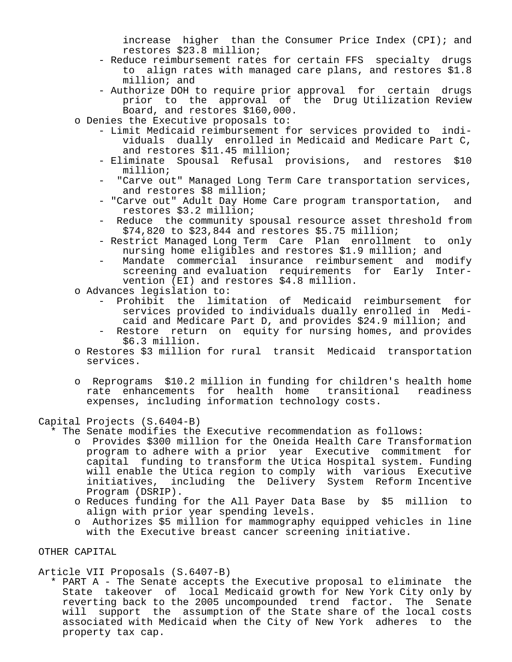increase higher than the Consumer Price Index (CPI); and restores \$23.8 million;

- Reduce reimbursement rates for certain FFS specialty drugs to align rates with managed care plans, and restores \$1.8 million; and
- Authorize DOH to require prior approval for certain drugs prior to the approval of the Drug Utilization Review Board, and restores \$160,000.
- o Denies the Executive proposals to:
	- Limit Medicaid reimbursement for services provided to indi viduals dually enrolled in Medicaid and Medicare Part C, and restores \$11.45 million;
	- Eliminate Spousal Refusal provisions, and restores \$10 million;
	- "Carve out" Managed Long Term Care transportation services, and restores \$8 million;
	- "Carve out" Adult Day Home Care program transportation, and restores \$3.2 million;
	- Reduce the community spousal resource asset threshold from \$74,820 to \$23,844 and restores \$5.75 million;
	- Restrict Managed Long Term Care Plan enrollment to only nursing home eligibles and restores \$1.9 million; and
	- Mandate commercial insurance reimbursement and modify screening and evaluation requirements for Early Inter vention (EI) and restores \$4.8 million.
- o Advances legislation to:
	- Prohibit the limitation of Medicaid reimbursement for services provided to individuals dually enrolled in Medi caid and Medicare Part D, and provides \$24.9 million; and
	- Restore return on equity for nursing homes, and provides \$6.3 million.
- o Restores \$3 million for rural transit Medicaid transportation services.
- o Reprograms \$10.2 million in funding for children's health home rate enhancements for health home transitional readiness expenses, including information technology costs.

#### Capital Projects (S.6404-B)

- \* The Senate modifies the Executive recommendation as follows:
	- o Provides \$300 million for the Oneida Health Care Transformation program to adhere with a prior year Executive commitment for capital funding to transform the Utica Hospital system. Funding will enable the Utica region to comply with various Executive initiatives, including the Delivery System Reform Incentive Program (DSRIP).
	- o Reduces funding for the All Payer Data Base by \$5 million to align with prior year spending levels.
	- o Authorizes \$5 million for mammography equipped vehicles in line with the Executive breast cancer screening initiative.

### OTHER CAPITAL

#### Article VII Proposals (S.6407-B)

 \* PART A - The Senate accepts the Executive proposal to eliminate the State takeover of local Medicaid growth for New York City only by reverting back to the 2005 uncompounded trend factor. The Senate will support the assumption of the State share of the local costs associated with Medicaid when the City of New York adheres to the property tax cap.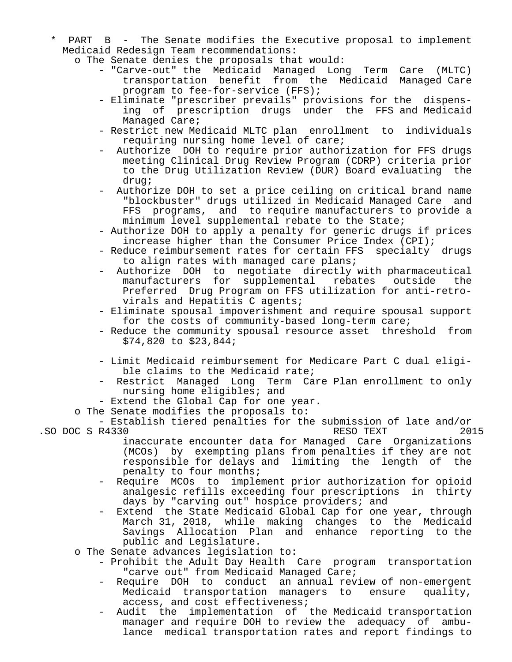- PART B The Senate modifies the Executive proposal to implement Medicaid Redesign Team recommendations:
	- o The Senate denies the proposals that would:
		- "Carve-out" the Medicaid Managed Long Term Care (MLTC) transportation benefit from the Medicaid Managed Care program to fee-for-service (FFS);
- Eliminate "prescriber prevails" provisions for the dispens ing of prescription drugs under the FFS and Medicaid Managed Care;
	- Restrict new Medicaid MLTC plan enrollment to individuals requiring nursing home level of care;
	- Authorize DOH to require prior authorization for FFS drugs meeting Clinical Drug Review Program (CDRP) criteria prior to the Drug Utilization Review (DUR) Board evaluating the drug;
	- Authorize DOH to set a price ceiling on critical brand name "blockbuster" drugs utilized in Medicaid Managed Care and FFS programs, and to require manufacturers to provide a minimum level supplemental rebate to the State;
	- Authorize DOH to apply a penalty for generic drugs if prices increase higher than the Consumer Price Index (CPI);
	- Reduce reimbursement rates for certain FFS specialty drugs to align rates with managed care plans;
	- Authorize DOH to negotiate directly with pharmaceutical<br>manufacturers for supplemental rebates outside the manufacturers for supplemental Preferred Drug Program on FFS utilization for anti-retro virals and Hepatitis C agents;
	- Eliminate spousal impoverishment and require spousal support for the costs of community-based long-term care;
	- Reduce the community spousal resource asset threshold from \$74,820 to \$23,844;
	- Limit Medicaid reimbursement for Medicare Part C dual eligi ble claims to the Medicaid rate;
	- Restrict Managed Long Term Care Plan enrollment to only nursing home eligibles; and
	- Extend the Global Cap for one year.
	- o The Senate modifies the proposals to:

 - Establish tiered penalties for the submission of late and/or .SO DOC S R4330 RESO TEXT

- inaccurate encounter data for Managed Care Organizations (MCOs) by exempting plans from penalties if they are not responsible for delays and limiting the length of the penalty to four months;
- Require MCOs to implement prior authorization for opioid analgesic refills exceeding four prescriptions in thirty days by "carving out" hospice providers; and
- Extend the State Medicaid Global Cap for one year, through March 31, 2018, while making changes to the Medicaid Savings Allocation Plan and enhance reporting to the public and Legislature.
- o The Senate advances legislation to:
	- Prohibit the Adult Day Health Care program transportation "carve out" from Medicaid Managed Care;
	- Require DOH to conduct an annual review of non-emergent Medicaid transportation managers to ensure quality, access, and cost effectiveness;
	- Audit the implementation of the Medicaid transportation manager and require DOH to review the adequacy of ambu lance medical transportation rates and report findings to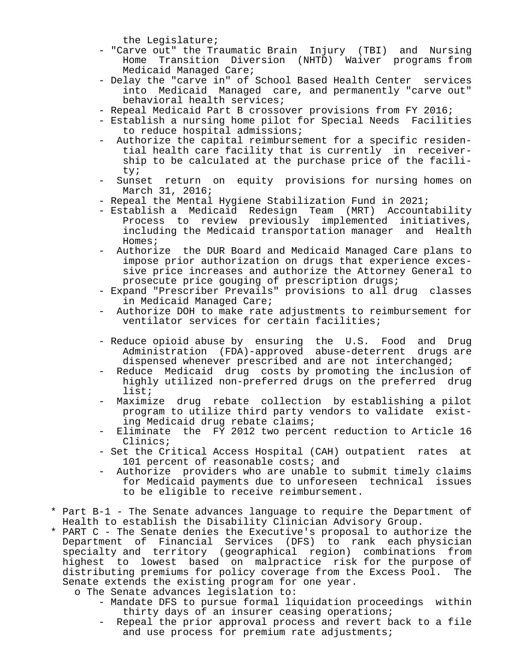the Legislature;

- "Carve out" the Traumatic Brain Injury (TBI) and Nursing Home Transition Diversion (NHTD) Waiver programs from Medicaid Managed Care;
- Delay the "carve in" of School Based Health Center services into Medicaid Managed care, and permanently "carve out" behavioral health services;
- Repeal Medicaid Part B crossover provisions from FY 2016;
- Establish a nursing home pilot for Special Needs Facilities to reduce hospital admissions;
- Authorize the capital reimbursement for a specific residen tial health care facility that is currently in receiver ship to be calculated at the purchase price of the facili ty;
- Sunset return on equity provisions for nursing homes on March 31, 2016;
- Repeal the Mental Hygiene Stabilization Fund in 2021;
- Establish a Medicaid Redesign Team (MRT) Accountability Process to review previously implemented initiatives, including the Medicaid transportation manager and Health Homes;
- Authorize the DUR Board and Medicaid Managed Care plans to impose prior authorization on drugs that experience exces sive price increases and authorize the Attorney General to prosecute price gouging of prescription drugs;
- Expand "Prescriber Prevails" provisions to all drug classes in Medicaid Managed Care;
- Authorize DOH to make rate adjustments to reimbursement for ventilator services for certain facilities;
- Reduce opioid abuse by ensuring the U.S. Food and Drug Administration (FDA)-approved abuse-deterrent drugs are dispensed whenever prescribed and are not interchanged;
- Reduce Medicaid drug costs by promoting the inclusion of highly utilized non-preferred drugs on the preferred drug list;
- Maximize drug rebate collection by establishing a pilot program to utilize third party vendors to validate exist ing Medicaid drug rebate claims;
- Eliminate the FY 2012 two percent reduction to Article 16 Clinics;
- Set the Critical Access Hospital (CAH) outpatient rates at 101 percent of reasonable costs; and
- Authorize providers who are unable to submit timely claims for Medicaid payments due to unforeseen technical issues to be eligible to receive reimbursement.
- \* Part B-1 The Senate advances language to require the Department of Health to establish the Disability Clinician Advisory Group.
- \* PART C The Senate denies the Executive's proposal to authorize the Department of Financial Services (DFS) to rank each physician specialty and territory (geographical region) combinations from highest to lowest based on malpractice risk for the purpose of distributing premiums for policy coverage from the Excess Pool. The Senate extends the existing program for one year.
	- o The Senate advances legislation to:
		- Mandate DFS to pursue formal liquidation proceedings within thirty days of an insurer ceasing operations;
		- Repeal the prior approval process and revert back to a file and use process for premium rate adjustments;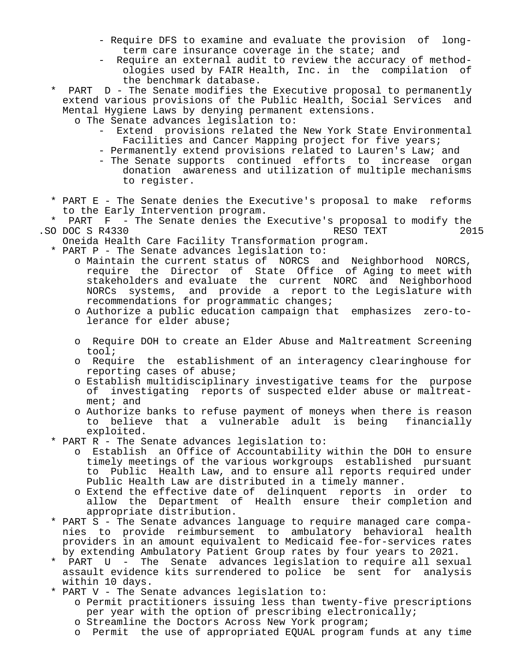- Require DFS to examine and evaluate the provision of long term care insurance coverage in the state; and
- Require an external audit to review the accuracy of method ologies used by FAIR Health, Inc. in the compilation of the benchmark database.
- $PART$   $D$  The Senate modifies the Executive proposal to permanently extend various provisions of the Public Health, Social Services and Mental Hygiene Laws by denying permanent extensions.
	- o The Senate advances legislation to:
		- Extend provisions related the New York State Environmental Facilities and Cancer Mapping project for five years;
		- Permanently extend provisions related to Lauren's Law; and
		- The Senate supports continued efforts to increase organ donation awareness and utilization of multiple mechanisms to register.
- \* PART E The Senate denies the Executive's proposal to make reforms to the Early Intervention program.<br>\* PART F - The Senate denies the
- PART F The Senate denies the Executive's proposal to modify the<br>DOC S R4330 2015 .SO DOC S R4330 RESO TEXT
	- Oneida Health Care Facility Transformation program.
	- \* PART P The Senate advances legislation to:
		- o Maintain the current status of NORCS and Neighborhood NORCS, require the Director of State Office of Aging to meet with stakeholders and evaluate the current NORC and Neighborhood NORCs systems, and provide a report to the Legislature with recommendations for programmatic changes;
		- o Authorize a public education campaign that emphasizes zero-to lerance for elder abuse;
		- o Require DOH to create an Elder Abuse and Maltreatment Screening tool;
		- o Require the establishment of an interagency clearinghouse for reporting cases of abuse;
		- o Establish multidisciplinary investigative teams for the purpose of investigating reports of suspected elder abuse or maltreat ment; and
		- o Authorize banks to refuse payment of moneys when there is reason to believe that a vulnerable adult is being financially exploited.
	- \* PART R The Senate advances legislation to:
		- o Establish an Office of Accountability within the DOH to ensure timely meetings of the various workgroups established pursuant to Public Health Law, and to ensure all reports required under Public Health Law are distributed in a timely manner.
		- o Extend the effective date of delinquent reports in order to allow the Department of Health ensure their completion and appropriate distribution.
	- \* PART S The Senate advances language to require managed care compa nies to provide reimbursement to ambulatory behavioral health providers in an amount equivalent to Medicaid fee-for-services rates by extending Ambulatory Patient Group rates by four years to 2021.
	- PART U The Senate advances legislation to require all sexual assault evidence kits surrendered to police be sent for analysis within 10 days.
	- \* PART V The Senate advances legislation to:
		- o Permit practitioners issuing less than twenty-five prescriptions per year with the option of prescribing electronically;
		- o Streamline the Doctors Across New York program;
		- o Permit the use of appropriated EQUAL program funds at any time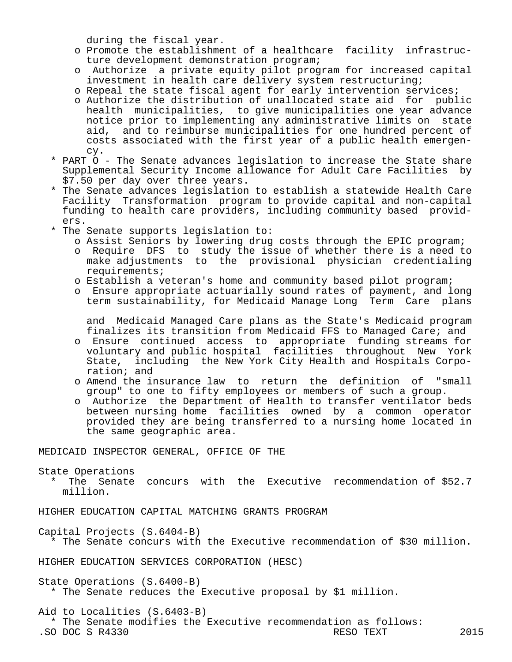during the fiscal year.

- o Promote the establishment of a healthcare facility infrastruc ture development demonstration program;
- o Authorize a private equity pilot program for increased capital investment in health care delivery system restructuring;
- o Repeal the state fiscal agent for early intervention services;
- o Authorize the distribution of unallocated state aid for public health municipalities, to give municipalities one year advance notice prior to implementing any administrative limits on state aid, and to reimburse municipalities for one hundred percent of costs associated with the first year of a public health emergen cy.
- \* PART O The Senate advances legislation to increase the State share Supplemental Security Income allowance for Adult Care Facilities by \$7.50 per day over three years.
- \* The Senate advances legislation to establish a statewide Health Care Facility Transformation program to provide capital and non-capital funding to health care providers, including community based provid ers.
- \* The Senate supports legislation to:
	- o Assist Seniors by lowering drug costs through the EPIC program;
	- o Require DFS to study the issue of whether there is a need to make adjustments to the provisional physician credentialing requirements;
	- o Establish a veteran's home and community based pilot program;
	- o Ensure appropriate actuarially sound rates of payment, and long term sustainability, for Medicaid Manage Long Term Care plans

 and Medicaid Managed Care plans as the State's Medicaid program finalizes its transition from Medicaid FFS to Managed Care; and

- o Ensure continued access to appropriate funding streams for voluntary and public hospital facilities throughout New York State, including the New York City Health and Hospitals Corpo ration; and
- o Amend the insurance law to return the definition of "small group" to one to fifty employees or members of such a group.
- o Authorize the Department of Health to transfer ventilator beds between nursing home facilities owned by a common operator provided they are being transferred to a nursing home located in the same geographic area.

MEDICAID INSPECTOR GENERAL, OFFICE OF THE

State Operations

 \* The Senate concurs with the Executive recommendation of \$52.7 million.

HIGHER EDUCATION CAPITAL MATCHING GRANTS PROGRAM

Capital Projects (S.6404-B)

\* The Senate concurs with the Executive recommendation of \$30 million.

HIGHER EDUCATION SERVICES CORPORATION (HESC)

State Operations (S.6400-B)

\* The Senate reduces the Executive proposal by \$1 million.

Aid to Localities (S.6403-B)

\* The Senate modifies the Executive recommendation as follows:<br>O DOC S R4330 RESO TEXT

.SO DOC S R4330 RESO TEXT 2015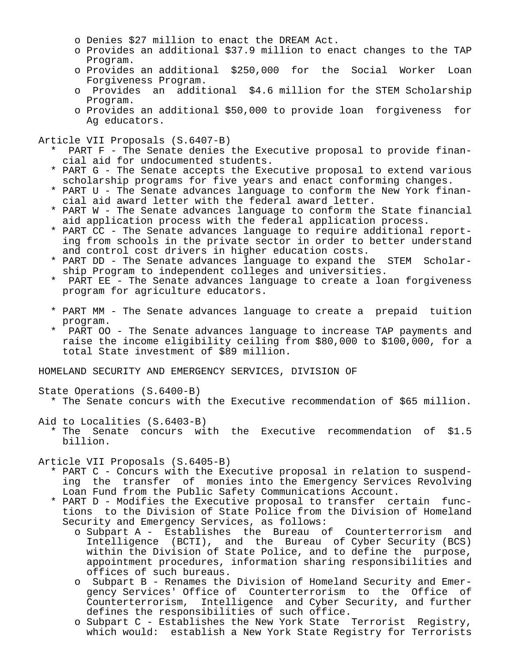- o Denies \$27 million to enact the DREAM Act.
- o Provides an additional \$37.9 million to enact changes to the TAP Program.
- o Provides an additional \$250,000 for the Social Worker Loan Forgiveness Program.
- o Provides an additional \$4.6 million for the STEM Scholarship Program.
- o Provides an additional \$50,000 to provide loan forgiveness for Ag educators.

Article VII Proposals (S.6407-B)

- PART F The Senate denies the Executive proposal to provide financial aid for undocumented students.
- \* PART G The Senate accepts the Executive proposal to extend various scholarship programs for five years and enact conforming changes.
- \* PART U The Senate advances language to conform the New York finan cial aid award letter with the federal award letter.
- \* PART W The Senate advances language to conform the State financial aid application process with the federal application process.
- \* PART CC The Senate advances language to require additional report ing from schools in the private sector in order to better understand and control cost drivers in higher education costs.
- \* PART DD The Senate advances language to expand the STEM Scholar ship Program to independent colleges and universities.
- PART EE The Senate advances language to create a loan forgiveness program for agriculture educators.
- \* PART MM The Senate advances language to create a prepaid tuition program.
- PART OO The Senate advances language to increase TAP payments and raise the income eligibility ceiling from \$80,000 to \$100,000, for a total State investment of \$89 million.

HOMELAND SECURITY AND EMERGENCY SERVICES, DIVISION OF

State Operations (S.6400-B)

\* The Senate concurs with the Executive recommendation of \$65 million.

Aid to Localities (S.6403-B)

 \* The Senate concurs with the Executive recommendation of \$1.5 billion.

Article VII Proposals (S.6405-B)

- \* PART C Concurs with the Executive proposal in relation to suspend ing the transfer of monies into the Emergency Services Revolving Loan Fund from the Public Safety Communications Account.
- \* PART D Modifies the Executive proposal to transfer certain func tions to the Division of State Police from the Division of Homeland Security and Emergency Services, as follows:
- o Subpart A Establishes the Bureau of Counterterrorism and Intelligence (BCTI), and the Bureau of Cyber Security (BCS) within the Division of State Police, and to define the purpose, appointment procedures, information sharing responsibilities and offices of such bureaus.
	- o Subpart B Renames the Division of Homeland Security and Emer gency Services' Office of Counterterrorism to the Office of Counterterrorism, Intelligence and Cyber Security, and further defines the responsibilities of such office.
	- o Subpart C Establishes the New York State Terrorist Registry, which would: establish a New York State Registry for Terrorists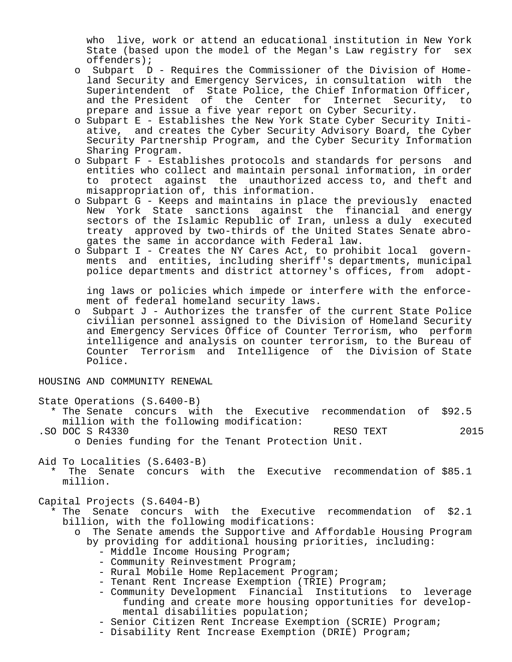who live, work or attend an educational institution in New York State (based upon the model of the Megan's Law registry for sex offenders);

- o Subpart D Requires the Commissioner of the Division of Home land Security and Emergency Services, in consultation with the Superintendent of State Police, the Chief Information Officer, and the President of the Center for Internet Security, to prepare and issue a five year report on Cyber Security.
- o Subpart E Establishes the New York State Cyber Security Initi ative, and creates the Cyber Security Advisory Board, the Cyber Security Partnership Program, and the Cyber Security Information Sharing Program.
- o Subpart F Establishes protocols and standards for persons and entities who collect and maintain personal information, in order to protect against the unauthorized access to, and theft and misappropriation of, this information.
- o Subpart G Keeps and maintains in place the previously enacted New York State sanctions against the financial and energy sectors of the Islamic Republic of Iran, unless a duly executed treaty approved by two-thirds of the United States Senate abro gates the same in accordance with Federal law.
- o Subpart I Creates the NY Cares Act, to prohibit local govern ments and entities, including sheriff's departments, municipal police departments and district attorney's offices, from adopt-

 ing laws or policies which impede or interfere with the enforce ment of federal homeland security laws.

 o Subpart J - Authorizes the transfer of the current State Police civilian personnel assigned to the Division of Homeland Security and Emergency Services Office of Counter Terrorism, who perform intelligence and analysis on counter terrorism, to the Bureau of Counter Terrorism and Intelligence of the Division of State Police.

HOUSING AND COMMUNITY RENEWAL

- State Operations (S.6400-B)
	- \* The Senate concurs with the Executive recommendation of \$92.5 million with the following modification:
- .SO DOC S R4330 RESO TEXT 2015 o Denies funding for the Tenant Protection Unit.

Aid To Localities (S.6403-B)

The Senate concurs with the Executive recommendation of \$85.1 million.

Capital Projects (S.6404-B)

- \* The Senate concurs with the Executive recommendation of \$2.1 billion, with the following modifications:
	- o The Senate amends the Supportive and Affordable Housing Program by providing for additional housing priorities, including:
		- Middle Income Housing Program;
		- Community Reinvestment Program;
		- Rural Mobile Home Replacement Program;
		- Tenant Rent Increase Exemption (TRIE) Program;
		- Community Development Financial Institutions to leverage funding and create more housing opportunities for develop mental disabilities population;
		- Senior Citizen Rent Increase Exemption (SCRIE) Program;
		- Disability Rent Increase Exemption (DRIE) Program;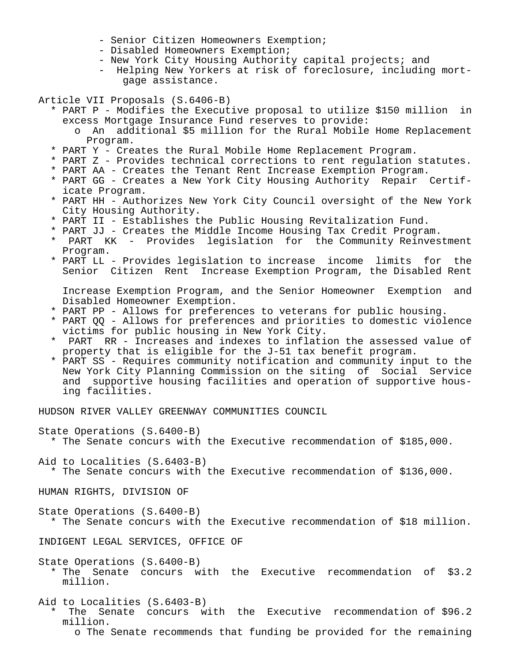- Senior Citizen Homeowners Exemption;
- Disabled Homeowners Exemption;
- New York City Housing Authority capital projects; and
- Helping New Yorkers at risk of foreclosure, including mort gage assistance.

Article VII Proposals (S.6406-B)

- \* PART P Modifies the Executive proposal to utilize \$150 million in excess Mortgage Insurance Fund reserves to provide:
	- o An additional \$5 million for the Rural Mobile Home Replacement Program.
- \* PART Y Creates the Rural Mobile Home Replacement Program.
- \* PART Z Provides technical corrections to rent regulation statutes.
- \* PART AA Creates the Tenant Rent Increase Exemption Program.
- \* PART GG Creates a New York City Housing Authority Repair Certif icate Program.
- \* PART HH Authorizes New York City Council oversight of the New York City Housing Authority.
- \* PART II Establishes the Public Housing Revitalization Fund.
- \* PART JJ Creates the Middle Income Housing Tax Credit Program.
- PART KK Provides legislation for the Community Reinvestment Program.
- \* PART LL Provides legislation to increase income limits for the Senior Citizen Rent Increase Exemption Program, the Disabled Rent

 Increase Exemption Program, and the Senior Homeowner Exemption and Disabled Homeowner Exemption.

- \* PART PP Allows for preferences to veterans for public housing.
- \* PART QQ Allows for preferences and priorities to domestic violence victims for public housing in New York City.
- PART RR Increases and indexes to inflation the assessed value of property that is eligible for the J-51 tax benefit program.
- \* PART SS Requires community notification and community input to the New York City Planning Commission on the siting of Social Service and supportive housing facilities and operation of supportive hous ing facilities.

HUDSON RIVER VALLEY GREENWAY COMMUNITIES COUNCIL

State Operations (S.6400-B)

\* The Senate concurs with the Executive recommendation of \$185,000.

Aid to Localities (S.6403-B)

\* The Senate concurs with the Executive recommendation of \$136,000.

HUMAN RIGHTS, DIVISION OF

State Operations (S.6400-B) \* The Senate concurs with the Executive recommendation of \$18 million.

INDIGENT LEGAL SERVICES, OFFICE OF

State Operations (S.6400-B)

 \* The Senate concurs with the Executive recommendation of \$3.2 million.

Aid to Localities (S.6403-B)

The Senate concurs with the Executive recommendation of \$96.2 million.

o The Senate recommends that funding be provided for the remaining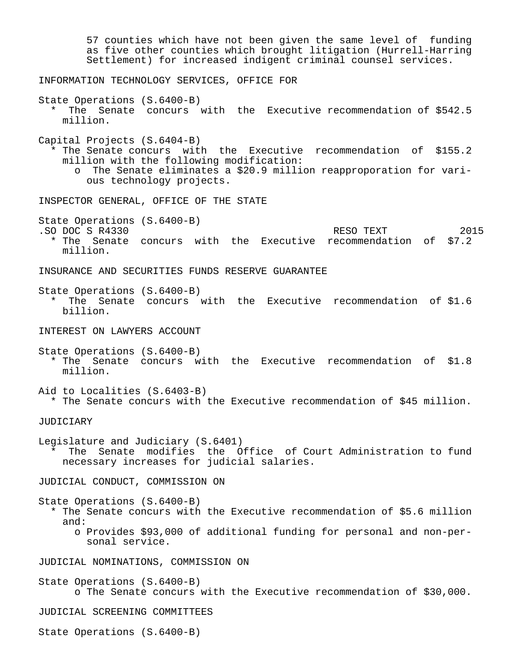57 counties which have not been given the same level of funding as five other counties which brought litigation (Hurrell-Harring Settlement) for increased indigent criminal counsel services. INFORMATION TECHNOLOGY SERVICES, OFFICE FOR State Operations (S.6400-B) \* The Senate concurs with the Executive recommendation of \$542.5 million. Capital Projects (S.6404-B) \* The Senate concurs with the Executive recommendation of \$155.2 million with the following modification: o The Senate eliminates a \$20.9 million reapproporation for vari ous technology projects. INSPECTOR GENERAL, OFFICE OF THE STATE State Operations (S.6400-B) .SO DOC S R4330 RESO TEXT 2015 \* The Senate concurs with the Executive recommendation of \$7.2 million. INSURANCE AND SECURITIES FUNDS RESERVE GUARANTEE State Operations (S.6400-B) \* The Senate concurs with the Executive recommendation of \$1.6 billion. INTEREST ON LAWYERS ACCOUNT State Operations (S.6400-B) \* The Senate concurs with the Executive recommendation of \$1.8 million. Aid to Localities (S.6403-B) \* The Senate concurs with the Executive recommendation of \$45 million. JUDICIARY Legislature and Judiciary (S.6401) \* The Senate modifies the Office of Court Administration to fund necessary increases for judicial salaries. JUDICIAL CONDUCT, COMMISSION ON State Operations (S.6400-B) \* The Senate concurs with the Executive recommendation of \$5.6 million and: o Provides \$93,000 of additional funding for personal and non-per sonal service. JUDICIAL NOMINATIONS, COMMISSION ON State Operations (S.6400-B) o The Senate concurs with the Executive recommendation of \$30,000. JUDICIAL SCREENING COMMITTEES State Operations (S.6400-B)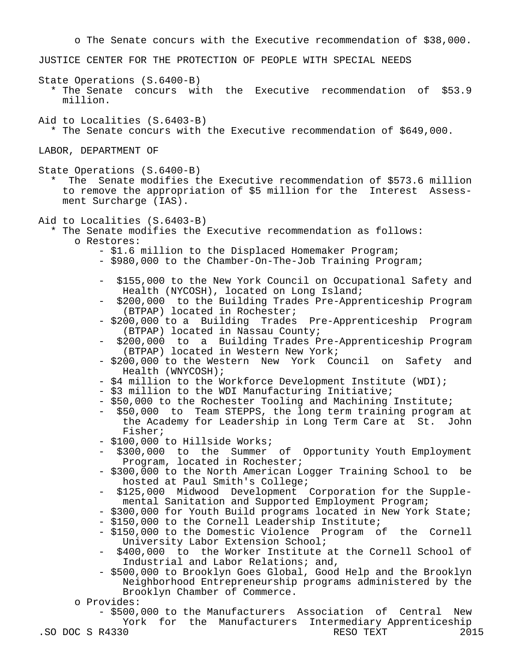o The Senate concurs with the Executive recommendation of \$38,000. JUSTICE CENTER FOR THE PROTECTION OF PEOPLE WITH SPECIAL NEEDS State Operations (S.6400-B) \* The Senate concurs with the Executive recommendation of \$53.9 million. Aid to Localities (S.6403-B) \* The Senate concurs with the Executive recommendation of \$649,000. LABOR, DEPARTMENT OF State Operations (S.6400-B) \* The Senate modifies the Executive recommendation of \$573.6 million to remove the appropriation of \$5 million for the Interest Assess ment Surcharge (IAS). Aid to Localities (S.6403-B) \* The Senate modifies the Executive recommendation as follows: o Restores: - \$1.6 million to the Displaced Homemaker Program; - \$980,000 to the Chamber-On-The-Job Training Program; - \$155,000 to the New York Council on Occupational Safety and Health (NYCOSH), located on Long Island; - \$200,000 to the Building Trades Pre-Apprenticeship Program (BTPAP) located in Rochester; - \$200,000 to a Building Trades Pre-Apprenticeship Program (BTPAP) located in Nassau County; - \$200,000 to a Building Trades Pre-Apprenticeship Program (BTPAP) located in Western New York; - \$200,000 to the Western New York Council on Safety and Health (WNYCOSH); - \$4 million to the Workforce Development Institute (WDI); - \$3 million to the WDI Manufacturing Initiative; - \$50,000 to the Rochester Tooling and Machining Institute; - \$50,000 to Team STEPPS, the long term training program at the Academy for Leadership in Long Term Care at St. John Fisher; - \$100,000 to Hillside Works; - \$300,000 to the Summer of Opportunity Youth Employment Program, located in Rochester; - \$300,000 to the North American Logger Training School to be hosted at Paul Smith's College; - \$125,000 Midwood Development Corporation for the Supple mental Sanitation and Supported Employment Program; - \$300,000 for Youth Build programs located in New York State; - \$150,000 to the Cornell Leadership Institute; - \$150,000 to the Domestic Violence Program of the Cornell University Labor Extension School; \$400,000 to the Worker Institute at the Cornell School of Industrial and Labor Relations; and, - \$500,000 to Brooklyn Goes Global, Good Help and the Brooklyn Neighborhood Entrepreneurship programs administered by the Brooklyn Chamber of Commerce. o Provides: - \$500,000 to the Manufacturers Association of Central New York for the Manufacturers Intermediary Apprenticeship<br>0 RESO TEXT 2015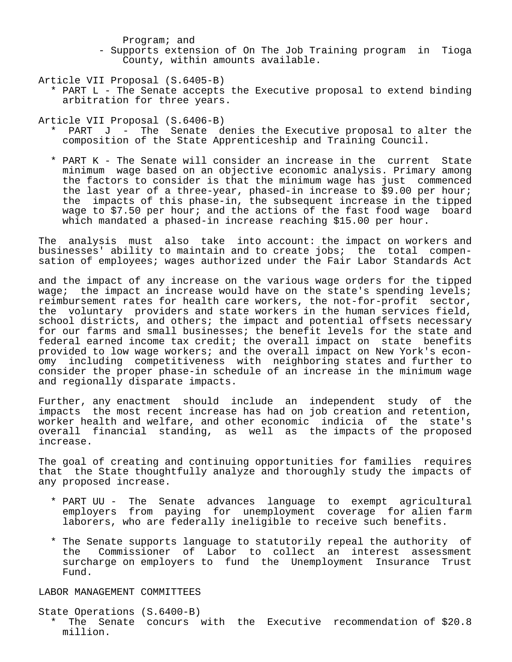Program; and

 - Supports extension of On The Job Training program in Tioga County, within amounts available.

Article VII Proposal (S.6405-B)

 \* PART L - The Senate accepts the Executive proposal to extend binding arbitration for three years.

Article VII Proposal (S.6406-B)

- \* PART J The Senate denies the Executive proposal to alter the composition of the State Apprenticeship and Training Council.
- \* PART K The Senate will consider an increase in the current State minimum wage based on an objective economic analysis. Primary among the factors to consider is that the minimum wage has just commenced the last year of a three-year, phased-in increase to \$9.00 per hour; the impacts of this phase-in, the subsequent increase in the tipped wage to \$7.50 per hour; and the actions of the fast food wage board which mandated a phased-in increase reaching \$15.00 per hour.

The analysis must also take into account: the impact on workers and businesses' ability to maintain and to create jobs; the total compensation of employees; wages authorized under the Fair Labor Standards Act

and the impact of any increase on the various wage orders for the tipped wage; the impact an increase would have on the state's spending levels; reimbursement rates for health care workers, the not-for-profit sector, the voluntary providers and state workers in the human services field, school districts, and others; the impact and potential offsets necessary for our farms and small businesses; the benefit levels for the state and federal earned income tax credit; the overall impact on state benefits provided to low wage workers; and the overall impact on New York's economy including competitiveness with neighboring states and further to consider the proper phase-in schedule of an increase in the minimum wage and regionally disparate impacts.

Further, any enactment should include an independent study of the impacts the most recent increase has had on job creation and retention, worker health and welfare, and other economic indicia of the state's overall financial standing, as well as the impacts of the proposed increase.

The goal of creating and continuing opportunities for families requires that the State thoughtfully analyze and thoroughly study the impacts of any proposed increase.

- \* PART UU The Senate advances language to exempt agricultural employers from paying for unemployment coverage for alien farm laborers, who are federally ineligible to receive such benefits.
- \* The Senate supports language to statutorily repeal the authority of the Commissioner of Labor to collect an interest assessment surcharge on employers to fund the Unemployment Insurance Trust Fund.

LABOR MANAGEMENT COMMITTEES

State Operations (S.6400-B)

 \* The Senate concurs with the Executive recommendation of \$20.8 million.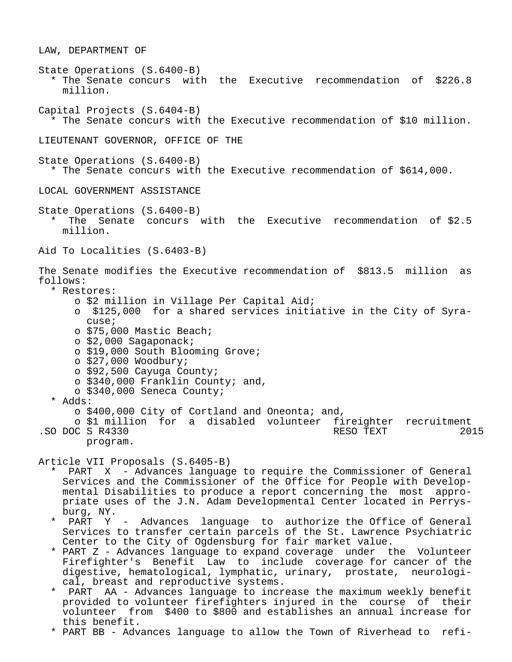LAW, DEPARTMENT OF State Operations (S.6400-B) \* The Senate concurs with the Executive recommendation of \$226.8 million. Capital Projects (S.6404-B) \* The Senate concurs with the Executive recommendation of \$10 million. LIEUTENANT GOVERNOR, OFFICE OF THE State Operations (S.6400-B) \* The Senate concurs with the Executive recommendation of \$614,000. LOCAL GOVERNMENT ASSISTANCE State Operations (S.6400-B) \* The Senate concurs with the Executive recommendation of \$2.5 million. Aid To Localities (S.6403-B) The Senate modifies the Executive recommendation of \$813.5 million as follows: \* Restores: o \$2 million in Village Per Capital Aid; o \$125,000 for a shared services initiative in the City of Syra cuse; o \$75,000 Mastic Beach; o \$2,000 Sagaponack; o \$19,000 South Blooming Grove; o \$27,000 Woodbury; o \$92,500 Cayuga County; o \$340,000 Franklin County; and, o \$340,000 Seneca County; \* Adds: o \$400,000 City of Cortland and Oneonta; and, o \$1 million for a disabled volunteer fireighter recruitment .SO DOC S R4330 program. Article VII Proposals (S.6405-B) PART X - Advances language to require the Commissioner of General Services and the Commissioner of the Office for People with Develop mental Disabilities to produce a report concerning the most appro priate uses of the J.N. Adam Developmental Center located in Perrys burg, NY. PART Y - Advances language to authorize the Office of General Services to transfer certain parcels of the St. Lawrence Psychiatric Center to the City of Ogdensburg for fair market value. \* PART Z - Advances language to expand coverage under the Volunteer

- Firefighter's Benefit Law to include coverage for cancer of the digestive, hematological, lymphatic, urinary, prostate, neurologi cal, breast and reproductive systems.
- PART AA Advances language to increase the maximum weekly benefit provided to volunteer firefighters injured in the course of their volunteer from \$400 to \$800 and establishes an annual increase for this benefit.
- \* PART BB Advances language to allow the Town of Riverhead to refi-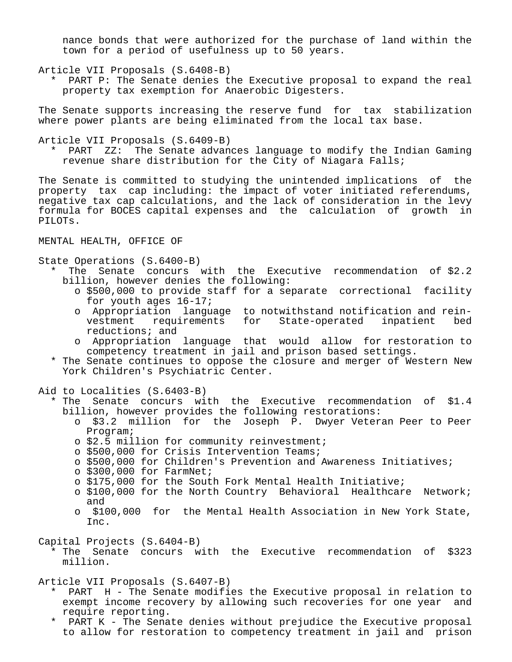nance bonds that were authorized for the purchase of land within the town for a period of usefulness up to 50 years.

Article VII Proposals (S.6408-B)

 \* PART P: The Senate denies the Executive proposal to expand the real property tax exemption for Anaerobic Digesters.

The Senate supports increasing the reserve fund for tax stabilization where power plants are being eliminated from the local tax base.

Article VII Proposals (S.6409-B)

 \* PART ZZ: The Senate advances language to modify the Indian Gaming revenue share distribution for the City of Niagara Falls;

The Senate is committed to studying the unintended implications of the property tax cap including: the impact of voter initiated referendums, negative tax cap calculations, and the lack of consideration in the levy formula for BOCES capital expenses and the calculation of growth in PILOTs.

MENTAL HEALTH, OFFICE OF

State Operations (S.6400-B)

- \* The Senate concurs with the Executive recommendation of \$2.2 billion, however denies the following:
	- o \$500,000 to provide staff for a separate correctional facility for youth ages 16-17;
	- o Appropriation language to notwithstand notification and rein for State-operated inpatient bed reductions; and
	- o Appropriation language that would allow for restoration to competency treatment in jail and prison based settings.
- \* The Senate continues to oppose the closure and merger of Western New York Children's Psychiatric Center.

Aid to Localities (S.6403-B)

- \* The Senate concurs with the Executive recommendation of \$1.4 billion, however provides the following restorations:
	- o \$3.2 million for the Joseph P. Dwyer Veteran Peer to Peer Program;
	- o \$2.5 million for community reinvestment;
	- o \$500,000 for Crisis Intervention Teams;
	- o \$500,000 for Children's Prevention and Awareness Initiatives;
	- o \$300,000 for FarmNet;
	- o \$175,000 for the South Fork Mental Health Initiative;
	- o \$100,000 for the North Country Behavioral Healthcare Network; and
	- o \$100,000 for the Mental Health Association in New York State, Inc.

Capital Projects (S.6404-B)

 \* The Senate concurs with the Executive recommendation of \$323 million.

Article VII Proposals (S.6407-B)

- PART H The Senate modifies the Executive proposal in relation to exempt income recovery by allowing such recoveries for one year and require reporting.
- \* PART K The Senate denies without prejudice the Executive proposal to allow for restoration to competency treatment in jail and prison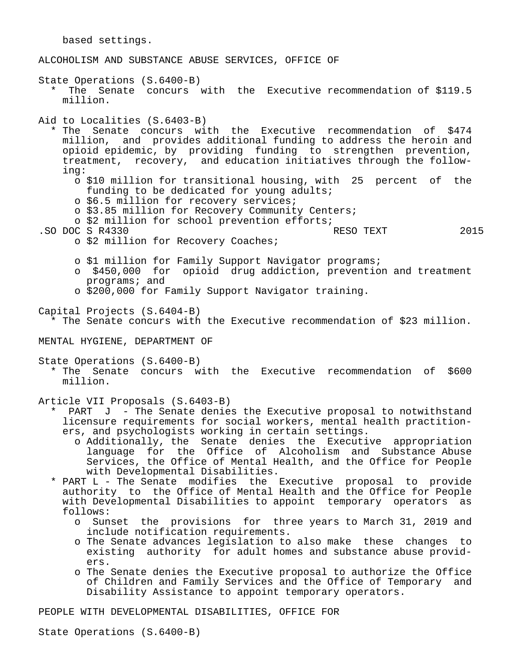based settings. ALCOHOLISM AND SUBSTANCE ABUSE SERVICES, OFFICE OF State Operations (S.6400-B) \* The Senate concurs with the Executive recommendation of \$119.5 million. Aid to Localities (S.6403-B) \* The Senate concurs with the Executive recommendation of \$474 million, and provides additional funding to address the heroin and opioid epidemic, by providing funding to strengthen prevention, treatment, recovery, and education initiatives through the follow ing: o \$10 million for transitional housing, with 25 percent of the funding to be dedicated for young adults; o \$6.5 million for recovery services; o \$3.85 million for Recovery Community Centers; o \$2 million for school prevention efforts; .SO DOC S R4330 RESO TEXT 2015 o \$2 million for Recovery Coaches; o \$1 million for Family Support Navigator programs; o \$450,000 for opioid drug addiction, prevention and treatment programs; and o \$200,000 for Family Support Navigator training. Capital Projects (S.6404-B) \* The Senate concurs with the Executive recommendation of \$23 million. MENTAL HYGIENE, DEPARTMENT OF State Operations (S.6400-B) \* The Senate concurs with the Executive recommendation of \$600 million. Article VII Proposals (S.6403-B) \* PART J - The Senate denies the Executive proposal to notwithstand licensure requirements for social workers, mental health practition ers, and psychologists working in certain settings.

- o Additionally, the Senate denies the Executive appropriation language for the Office of Alcoholism and Substance Abuse Services, the Office of Mental Health, and the Office for People with Developmental Disabilities.
- \* PART L The Senate modifies the Executive proposal to provide authority to the Office of Mental Health and the Office for People with Developmental Disabilities to appoint temporary operators as follows:
	- o Sunset the provisions for three years to March 31, 2019 and include notification requirements.
	- o The Senate advances legislation to also make these changes to existing authority for adult homes and substance abuse provid ers.
	- o The Senate denies the Executive proposal to authorize the Office of Children and Family Services and the Office of Temporary and Disability Assistance to appoint temporary operators.

PEOPLE WITH DEVELOPMENTAL DISABILITIES, OFFICE FOR

State Operations (S.6400-B)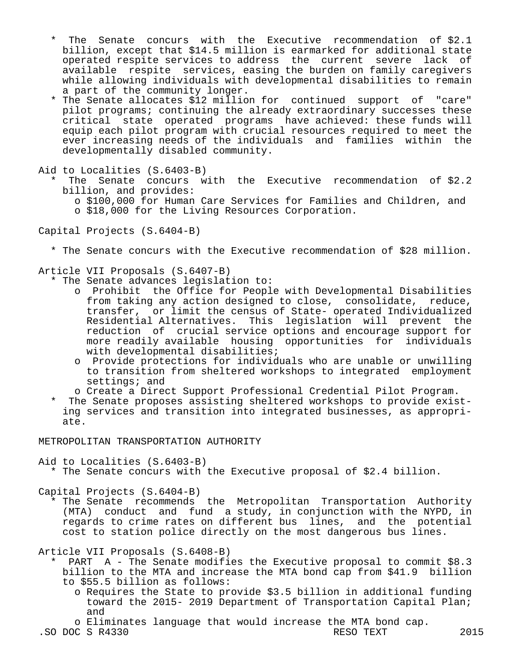- The Senate concurs with the Executive recommendation of  $$2.1$  billion, except that \$14.5 million is earmarked for additional state operated respite services to address the current severe lack of available respite services, easing the burden on family caregivers while allowing individuals with developmental disabilities to remain a part of the community longer.
- \* The Senate allocates \$12 million for continued support of "care" pilot programs; continuing the already extraordinary successes these critical state operated programs have achieved: these funds will equip each pilot program with crucial resources required to meet the ever increasing needs of the individuals and families within the developmentally disabled community.
- Aid to Localities (S.6403-B)
	- The Senate concurs with the Executive recommendation of  $$2.2$  billion, and provides:
		- o \$100,000 for Human Care Services for Families and Children, and o \$18,000 for the Living Resources Corporation.
- Capital Projects (S.6404-B)
	- \* The Senate concurs with the Executive recommendation of \$28 million.

### Article VII Proposals (S.6407-B)

- \* The Senate advances legislation to:
	- o Prohibit the Office for People with Developmental Disabilities from taking any action designed to close, consolidate, reduce, transfer, or limit the census of State- operated Individualized Residential Alternatives. This legislation will prevent the reduction of crucial service options and encourage support for more readily available housing opportunities for individuals with developmental disabilities;
	- o Provide protections for individuals who are unable or unwilling to transition from sheltered workshops to integrated employment settings; and
	- o Create a Direct Support Professional Credential Pilot Program.
- \* The Senate proposes assisting sheltered workshops to provide exist ing services and transition into integrated businesses, as appropri ate.

METROPOLITAN TRANSPORTATION AUTHORITY

Aid to Localities (S.6403-B)

\* The Senate concurs with the Executive proposal of \$2.4 billion.

Capital Projects (S.6404-B)

 \* The Senate recommends the Metropolitan Transportation Authority (MTA) conduct and fund a study, in conjunction with the NYPD, in regards to crime rates on different bus lines, and the potential cost to station police directly on the most dangerous bus lines.

Article VII Proposals (S.6408-B)

- PART  $A$  The Senate modifies the Executive proposal to commit \$8.3 billion to the MTA and increase the MTA bond cap from \$41.9 billion to \$55.5 billion as follows:
	- o Requires the State to provide \$3.5 billion in additional funding toward the 2015- 2019 Department of Transportation Capital Plan; and
- o Eliminates language that would increase the MTA bond cap.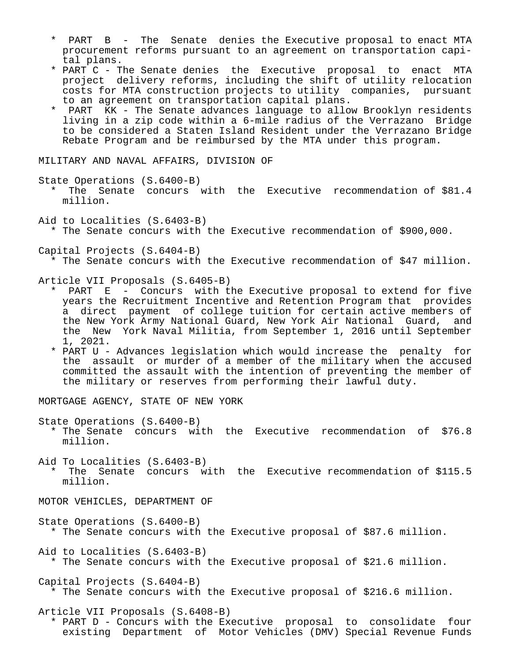- \* PART B The Senate denies the Executive proposal to enact MTA procurement reforms pursuant to an agreement on transportation capi tal plans.
- \* PART C The Senate denies the Executive proposal to enact MTA project delivery reforms, including the shift of utility relocation costs for MTA construction projects to utility companies, pursuant to an agreement on transportation capital plans.
- \* PART KK The Senate advances language to allow Brooklyn residents living in a zip code within a 6-mile radius of the Verrazano Bridge to be considered a Staten Island Resident under the Verrazano Bridge Rebate Program and be reimbursed by the MTA under this program.

MILITARY AND NAVAL AFFAIRS, DIVISION OF

State Operations (S.6400-B)

- \* The Senate concurs with the Executive recommendation of \$81.4 million.
- Aid to Localities (S.6403-B) \* The Senate concurs with the Executive recommendation of \$900,000.

Capital Projects (S.6404-B)

\* The Senate concurs with the Executive recommendation of \$47 million.

Article VII Proposals (S.6405-B)

- \* PART E Concurs with the Executive proposal to extend for five years the Recruitment Incentive and Retention Program that provides a direct payment of college tuition for certain active members of the New York Army National Guard, New York Air National Guard, and the New York Naval Militia, from September 1, 2016 until September 1, 2021.
- \* PART U Advances legislation which would increase the penalty for the assault or murder of a member of the military when the accused committed the assault with the intention of preventing the member of the military or reserves from performing their lawful duty.

MORTGAGE AGENCY, STATE OF NEW YORK

State Operations (S.6400-B)

 \* The Senate concurs with the Executive recommendation of \$76.8 million.

Aid To Localities (S.6403-B)

The Senate concurs with the Executive recommendation of \$115.5 million.

MOTOR VEHICLES, DEPARTMENT OF

State Operations (S.6400-B) \* The Senate concurs with the Executive proposal of \$87.6 million.

Aid to Localities (S.6403-B) \* The Senate concurs with the Executive proposal of \$21.6 million.

Capital Projects (S.6404-B) \* The Senate concurs with the Executive proposal of \$216.6 million.

Article VII Proposals (S.6408-B)

 \* PART D - Concurs with the Executive proposal to consolidate four existing Department of Motor Vehicles (DMV) Special Revenue Funds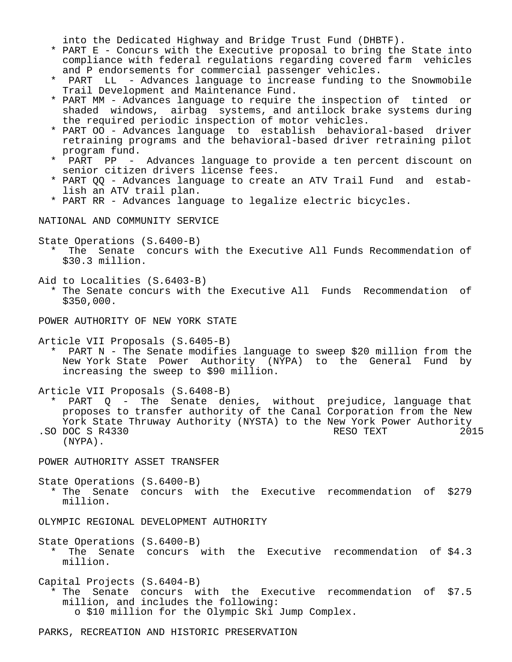into the Dedicated Highway and Bridge Trust Fund (DHBTF).

- \* PART E Concurs with the Executive proposal to bring the State into compliance with federal regulations regarding covered farm vehicles and P endorsements for commercial passenger vehicles.
- PART LL Advances language to increase funding to the Snowmobile Trail Development and Maintenance Fund.
- \* PART MM Advances language to require the inspection of tinted or shaded windows, airbag systems, and antilock brake systems during the required periodic inspection of motor vehicles.
- \* PART OO Advances language to establish behavioral-based driver retraining programs and the behavioral-based driver retraining pilot program fund.<br>\* PAPT PP
- PART PP Advances language to provide a ten percent discount on senior citizen drivers license fees.
- \* PART QQ Advances language to create an ATV Trail Fund and estab lish an ATV trail plan.
- \* PART RR Advances language to legalize electric bicycles.

NATIONAL AND COMMUNITY SERVICE

State Operations (S.6400-B)

- \* The Senate concurs with the Executive All Funds Recommendation of \$30.3 million.
- Aid to Localities (S.6403-B)
	- \* The Senate concurs with the Executive All Funds Recommendation of \$350,000.

POWER AUTHORITY OF NEW YORK STATE

Article VII Proposals (S.6405-B)

 \* PART N - The Senate modifies language to sweep \$20 million from the New York State Power Authority (NYPA) to the General Fund by increasing the sweep to \$90 million.

Article VII Proposals (S.6408-B)

 \* PART Q - The Senate denies, without prejudice, language that proposes to transfer authority of the Canal Corporation from the New York State Thruway Authority (NYSTA) to the New York Power Authority<br>DOC S R4330 2015 .SO DOC S R4330 (NYPA).

POWER AUTHORITY ASSET TRANSFER

State Operations (S.6400-B) \* The Senate concurs with the Executive recommendation of \$279 million.

OLYMPIC REGIONAL DEVELOPMENT AUTHORITY

- State Operations (S.6400-B) \* The Senate concurs with the Executive recommendation of \$4.3 million.
- Capital Projects (S.6404-B) \* The Senate concurs with the Executive recommendation of \$7.5 million, and includes the following: o \$10 million for the Olympic Ski Jump Complex.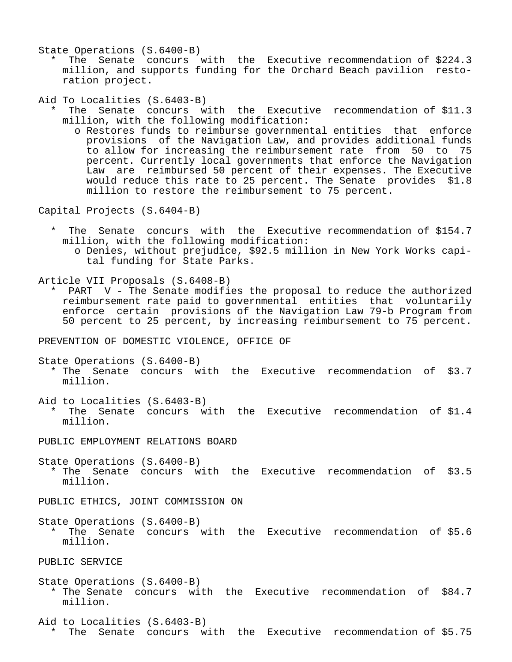State Operations (S.6400-B)

The Senate concurs with the Executive recommendation of \$224.3 million, and supports funding for the Orchard Beach pavilion resto ration project.

Aid To Localities (S.6403-B)

- The Senate concurs with the Executive recommendation of \$11.3 million, with the following modification:
	- o Restores funds to reimburse governmental entities that enforce provisions of the Navigation Law, and provides additional funds to allow for increasing the reimbursement rate from 50 to 75 percent. Currently local governments that enforce the Navigation Law are reimbursed 50 percent of their expenses. The Executive would reduce this rate to 25 percent. The Senate provides \$1.8 million to restore the reimbursement to 75 percent.

Capital Projects (S.6404-B)

The Senate concurs with the Executive recommendation of \$154.7 million, with the following modification: o Denies, without prejudice, \$92.5 million in New York Works capi tal funding for State Parks.

Article VII Proposals (S.6408-B)

 \* PART V - The Senate modifies the proposal to reduce the authorized reimbursement rate paid to governmental entities that voluntarily enforce certain provisions of the Navigation Law 79-b Program from 50 percent to 25 percent, by increasing reimbursement to 75 percent.

PREVENTION OF DOMESTIC VIOLENCE, OFFICE OF

State Operations (S.6400-B)

- \* The Senate concurs with the Executive recommendation of \$3.7 million.
- Aid to Localities (S.6403-B) \* The Senate concurs with the Executive recommendation of \$1.4 million.

PUBLIC EMPLOYMENT RELATIONS BOARD

State Operations (S.6400-B)

 \* The Senate concurs with the Executive recommendation of \$3.5 million.

PUBLIC ETHICS, JOINT COMMISSION ON

State Operations (S.6400-B)

 \* The Senate concurs with the Executive recommendation of \$5.6 million.

PUBLIC SERVICE

State Operations (S.6400-B) \* The Senate concurs with the Executive recommendation of \$84.7 million.

Aid to Localities (S.6403-B) \* The Senate concurs with the Executive recommendation of \$5.75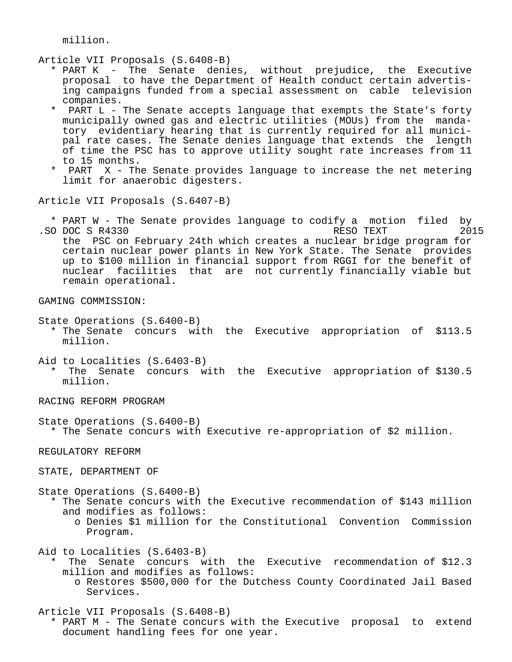million.

Article VII Proposals (S.6408-B)

- \* PART K The Senate denies, without prejudice, the Executive proposal to have the Department of Health conduct certain advertis ing campaigns funded from a special assessment on cable television companies.
- \* PART L The Senate accepts language that exempts the State's forty municipally owned gas and electric utilities (MOUs) from the manda tory evidentiary hearing that is currently required for all munici pal rate cases. The Senate denies language that extends the length of time the PSC has to approve utility sought rate increases from 11 to 15 months.
- PART X The Senate provides language to increase the net metering limit for anaerobic digesters.

Article VII Proposals (S.6407-B)

 \* PART W - The Senate provides language to codify a motion filed by .SO DOC S R4330 the PSC on February 24th which creates a nuclear bridge program for certain nuclear power plants in New York State. The Senate provides up to \$100 million in financial support from RGGI for the benefit of nuclear facilities that are not currently financially viable but remain operational.

GAMING COMMISSION:

State Operations (S.6400-B)

- \* The Senate concurs with the Executive appropriation of \$113.5 million.
- Aid to Localities (S.6403-B) The Senate concurs with the Executive appropriation of \$130.5 million.

RACING REFORM PROGRAM

State Operations (S.6400-B)

\* The Senate concurs with Executive re-appropriation of \$2 million.

REGULATORY REFORM

STATE, DEPARTMENT OF

State Operations (S.6400-B)

- \* The Senate concurs with the Executive recommendation of \$143 million and modifies as follows:
	- o Denies \$1 million for the Constitutional Convention Commission Program.

Aid to Localities (S.6403-B)

- The Senate concurs with the Executive recommendation of \$12.3 million and modifies as follows:
	- o Restores \$500,000 for the Dutchess County Coordinated Jail Based Services.

Article VII Proposals (S.6408-B)

 \* PART M - The Senate concurs with the Executive proposal to extend document handling fees for one year.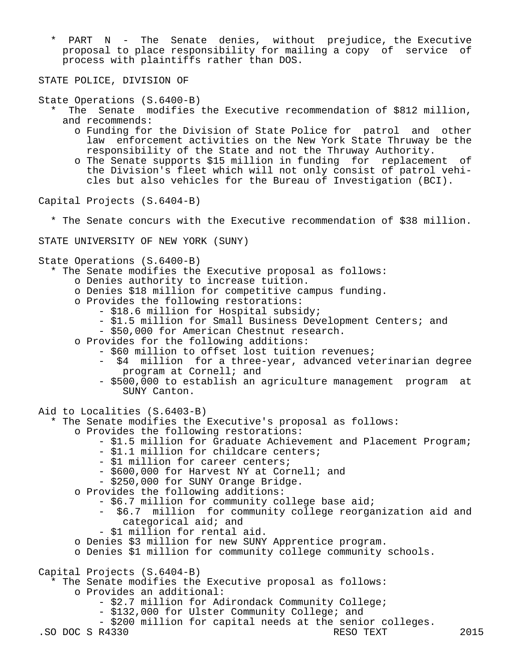\* PART N - The Senate denies, without prejudice, the Executive proposal to place responsibility for mailing a copy of service of process with plaintiffs rather than DOS.

STATE POLICE, DIVISION OF

State Operations (S.6400-B)

- The Senate modifies the Executive recommendation of \$812 million, and recommends:
	- o Funding for the Division of State Police for patrol and other law enforcement activities on the New York State Thruway be the responsibility of the State and not the Thruway Authority.
	- o The Senate supports \$15 million in funding for replacement of the Division's fleet which will not only consist of patrol vehi cles but also vehicles for the Bureau of Investigation (BCI).

Capital Projects (S.6404-B)

\* The Senate concurs with the Executive recommendation of \$38 million.

STATE UNIVERSITY OF NEW YORK (SUNY)

State Operations (S.6400-B)

- \* The Senate modifies the Executive proposal as follows:
	- o Denies authority to increase tuition.
	- o Denies \$18 million for competitive campus funding.
	- o Provides the following restorations:
		- \$18.6 million for Hospital subsidy;
		- \$1.5 million for Small Business Development Centers; and
		- \$50,000 for American Chestnut research.
	- o Provides for the following additions:
		- \$60 million to offset lost tuition revenues;
			- \$4 million for a three-year, advanced veterinarian degree program at Cornell; and
		- \$500,000 to establish an agriculture management program at SUNY Canton.
- Aid to Localities (S.6403-B)

\* The Senate modifies the Executive's proposal as follows:

- o Provides the following restorations:
	- \$1.5 million for Graduate Achievement and Placement Program;
	- \$1.1 million for childcare centers;
	- \$1 million for career centers;
	- \$600,000 for Harvest NY at Cornell; and
	- \$250,000 for SUNY Orange Bridge.
- o Provides the following additions:
	- \$6.7 million for community college base aid;
		- \$6.7 million for community college reorganization aid and categorical aid; and
	- \$1 million for rental aid.
- o Denies \$3 million for new SUNY Apprentice program.
- o Denies \$1 million for community college community schools.

Capital Projects (S.6404-B)

- \* The Senate modifies the Executive proposal as follows: o Provides an additional:
	- \$2.7 million for Adirondack Community College;
	- \$132,000 for Ulster Community College; and
	- \$200 million for capital needs at the senior colleges.<br>R4330 RESO TEXT

.SO DOC S R4330 RESO TEXT 2015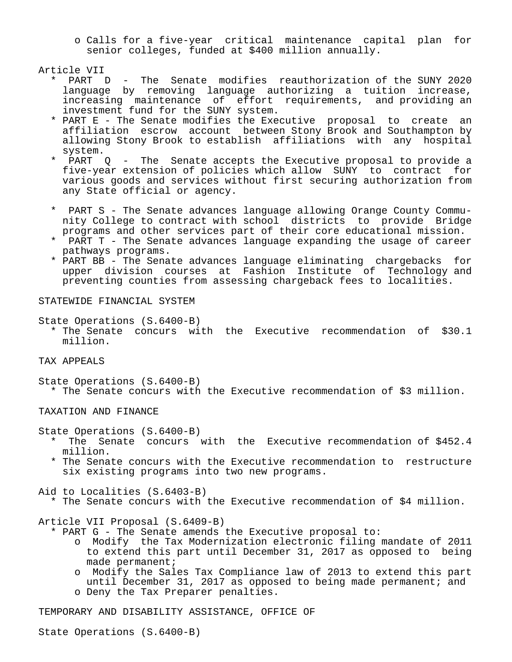o Calls for a five-year critical maintenance capital plan for senior colleges, funded at \$400 million annually.

Article VII

- PART D The Senate modifies reauthorization of the SUNY 2020 language by removing language authorizing a tuition increase, increasing maintenance of effort requirements, and providing an investment fund for the SUNY system.
	- \* PART E The Senate modifies the Executive proposal to create an affiliation escrow account between Stony Brook and Southampton by allowing Stony Brook to establish affiliations with any hospital system.
	- \* PART Q The Senate accepts the Executive proposal to provide a five-year extension of policies which allow SUNY to contract for various goods and services without first securing authorization from any State official or agency.
	- PART S The Senate advances language allowing Orange County Community College to contract with school districts to provide Bridge
	- programs and other services part of their core educational mission.<br>A RAPT T The Senate advances language expanding the usage of gareer PART T - The Senate advances language expanding the usage of career pathways programs.
	- \* PART BB The Senate advances language eliminating chargebacks for upper division courses at Fashion Institute of Technology and preventing counties from assessing chargeback fees to localities.

### STATEWIDE FINANCIAL SYSTEM

State Operations (S.6400-B)

 \* The Senate concurs with the Executive recommendation of \$30.1 million.

# TAX APPEALS

State Operations (S.6400-B)

\* The Senate concurs with the Executive recommendation of \$3 million.

TAXATION AND FINANCE

State Operations (S.6400-B)

- \* The Senate concurs with the Executive recommendation of \$452.4 million.
- \* The Senate concurs with the Executive recommendation to restructure six existing programs into two new programs.

Aid to Localities (S.6403-B)

\* The Senate concurs with the Executive recommendation of \$4 million.

Article VII Proposal (S.6409-B)

- \* PART G The Senate amends the Executive proposal to:
	- o Modify the Tax Modernization electronic filing mandate of 2011 to extend this part until December 31, 2017 as opposed to being made permanent;
	- o Modify the Sales Tax Compliance law of 2013 to extend this part until December 31, 2017 as opposed to being made permanent; and o Deny the Tax Preparer penalties.

TEMPORARY AND DISABILITY ASSISTANCE, OFFICE OF

State Operations (S.6400-B)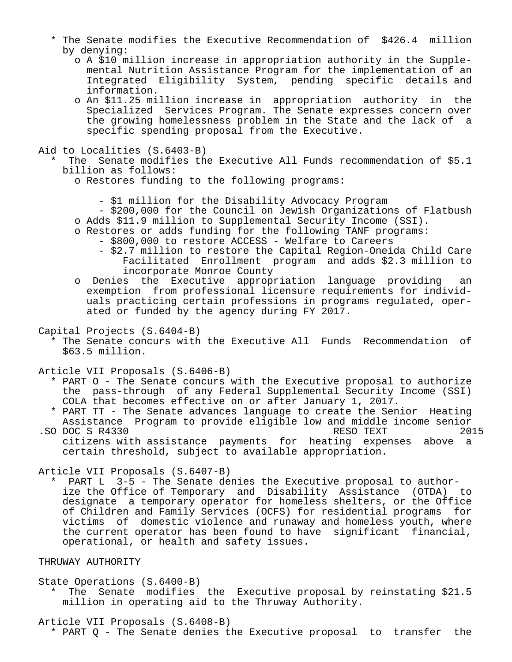- \* The Senate modifies the Executive Recommendation of \$426.4 million by denying:
	- o A \$10 million increase in appropriation authority in the Supple mental Nutrition Assistance Program for the implementation of an Integrated Eligibility System, pending specific details and information.
- o An \$11.25 million increase in appropriation authority in the Specialized Services Program. The Senate expresses concern over the growing homelessness problem in the State and the lack of a specific spending proposal from the Executive.

Aid to Localities (S.6403-B)

The Senate modifies the Executive All Funds recommendation of \$5.1 billion as follows:

o Restores funding to the following programs:

- \$1 million for the Disability Advocacy Program
- \$200,000 for the Council on Jewish Organizations of Flatbush o Adds \$11.9 million to Supplemental Security Income (SSI).
- o Restores or adds funding for the following TANF programs:
	- \$800,000 to restore ACCESS Welfare to Careers
	- \$2.7 million to restore the Capital Region-Oneida Child Care Facilitated Enrollment program and adds \$2.3 million to incorporate Monroe County
- o Denies the Executive appropriation language providing an exemption from professional licensure requirements for individ uals practicing certain professions in programs regulated, oper ated or funded by the agency during FY 2017.
- Capital Projects (S.6404-B)
	- \* The Senate concurs with the Executive All Funds Recommendation of \$63.5 million.
- Article VII Proposals (S.6406-B)
	- \* PART O The Senate concurs with the Executive proposal to authorize the pass-through of any Federal Supplemental Security Income (SSI) COLA that becomes effective on or after January 1, 2017.
	- \* PART TT The Senate advances language to create the Senior Heating Assistance Program to provide eligible low and middle income senior<br>DOC S R4330 RESO TEXT 2015
- .SO DOC S R4330 citizens with assistance payments for heating expenses above a certain threshold, subject to available appropriation.

Article VII Proposals (S.6407-B)

PART L 3-5 - The Senate denies the Executive proposal to author ize the Office of Temporary and Disability Assistance (OTDA) to designate a temporary operator for homeless shelters, or the Office of Children and Family Services (OCFS) for residential programs for victims of domestic violence and runaway and homeless youth, where the current operator has been found to have significant financial, operational, or health and safety issues.

## THRUWAY AUTHORITY

#### State Operations (S.6400-B)

The Senate modifies the Executive proposal by reinstating \$21.5 million in operating aid to the Thruway Authority.

Article VII Proposals (S.6408-B)

\* PART Q - The Senate denies the Executive proposal to transfer the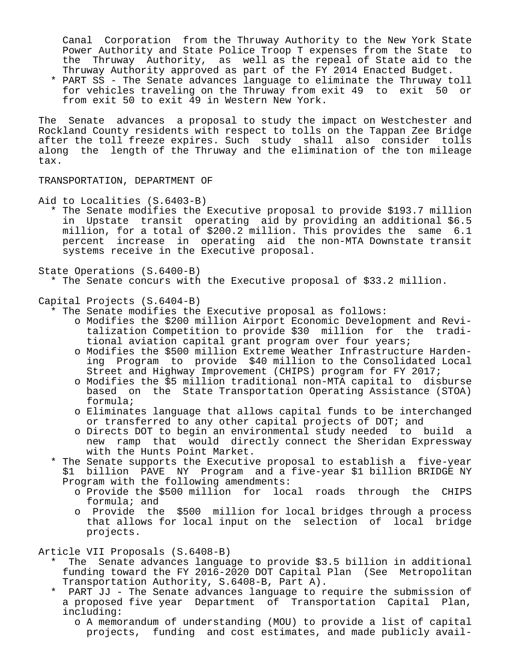Canal Corporation from the Thruway Authority to the New York State Power Authority and State Police Troop T expenses from the State to the Thruway Authority, as well as the repeal of State aid to the Thruway Authority approved as part of the FY 2014 Enacted Budget.

 \* PART SS - The Senate advances language to eliminate the Thruway toll for vehicles traveling on the Thruway from exit 49 to exit 50 or from exit 50 to exit 49 in Western New York.

The Senate advances a proposal to study the impact on Westchester and Rockland County residents with respect to tolls on the Tappan Zee Bridge after the toll freeze expires. Such study shall also consider tolls along the length of the Thruway and the elimination of the ton mileage tax.

TRANSPORTATION, DEPARTMENT OF

Aid to Localities (S.6403-B)

 \* The Senate modifies the Executive proposal to provide \$193.7 million in Upstate transit operating aid by providing an additional \$6.5 million, for a total of \$200.2 million. This provides the same 6.1 percent increase in operating aid the non-MTA Downstate transit systems receive in the Executive proposal.

State Operations (S.6400-B)

- \* The Senate concurs with the Executive proposal of \$33.2 million.
- Capital Projects (S.6404-B)
	- \* The Senate modifies the Executive proposal as follows:
		- o Modifies the \$200 million Airport Economic Development and Revi talization Competition to provide \$30 million for the tradi tional aviation capital grant program over four years;
		- o Modifies the \$500 million Extreme Weather Infrastructure Harden ing Program to provide \$40 million to the Consolidated Local Street and Highway Improvement (CHIPS) program for FY 2017;
		- o Modifies the \$5 million traditional non-MTA capital to disburse based on the State Transportation Operating Assistance (STOA) formula;
		- o Eliminates language that allows capital funds to be interchanged or transferred to any other capital projects of DOT; and
		- o Directs DOT to begin an environmental study needed to build a new ramp that would directly connect the Sheridan Expressway with the Hunts Point Market.
	- \* The Senate supports the Executive proposal to establish a five-year \$1 billion PAVE NY Program and a five-year \$1 billion BRIDGE NY Program with the following amendments:
		- o Provide the \$500 million for local roads through the CHIPS formula; and
		- o Provide the \$500 million for local bridges through a process that allows for local input on the selection of local bridge projects.

Article VII Proposals (S.6408-B)

- \* The Senate advances language to provide \$3.5 billion in additional funding toward the FY 2016-2020 DOT Capital Plan (See Metropolitan Transportation Authority, S.6408-B, Part A).
- PART JJ The Senate advances language to require the submission of a proposed five year Department of Transportation Capital Plan, including:
	- o A memorandum of understanding (MOU) to provide a list of capital projects, funding and cost estimates, and made publicly avail-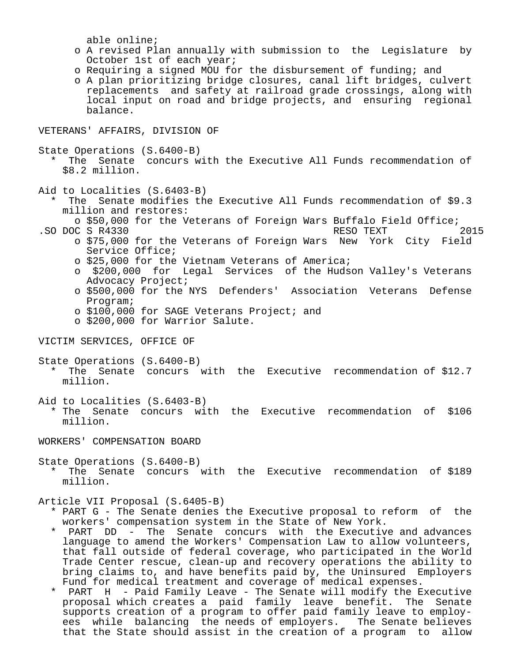able online;

- o A revised Plan annually with submission to the Legislature by October 1st of each year;
- o Requiring a signed MOU for the disbursement of funding; and
- o A plan prioritizing bridge closures, canal lift bridges, culvert replacements and safety at railroad grade crossings, along with local input on road and bridge projects, and ensuring regional balance.

VETERANS' AFFAIRS, DIVISION OF

State Operations (S.6400-B)

The Senate concurs with the Executive All Funds recommendation of \$8.2 million.

Aid to Localities (S.6403-B)

- The Senate modifies the Executive All Funds recommendation of \$9.3 million and restores:
- o \$50,000 for the Veterans of Foreign Wars Buffalo Field Office;<br>C S R4330 RESO TEXT 2015 .SO DOC S R4330 RESO TEXT
	- o \$75,000 for the Veterans of Foreign Wars New York City Field Service Office;

o \$25,000 for the Vietnam Veterans of America;

- o \$200,000 for Legal Services of the Hudson Valley's Veterans Advocacy Project;
- o \$500,000 for the NYS Defenders' Association Veterans Defense Program;
- o \$100,000 for SAGE Veterans Project; and
- o \$200,000 for Warrior Salute.

VICTIM SERVICES, OFFICE OF

State Operations (S.6400-B)

The Senate concurs with the Executive recommendation of  $$12.7$ million.

Aid to Localities (S.6403-B)

 \* The Senate concurs with the Executive recommendation of \$106 million.

WORKERS' COMPENSATION BOARD

State Operations (S.6400-B)

 \* The Senate concurs with the Executive recommendation of \$189 million.

Article VII Proposal (S.6405-B)

- \* PART G The Senate denies the Executive proposal to reform of the workers' compensation system in the State of New York.
- \* PART DD The Senate concurs with the Executive and advances language to amend the Workers' Compensation Law to allow volunteers, that fall outside of federal coverage, who participated in the World Trade Center rescue, clean-up and recovery operations the ability to bring claims to, and have benefits paid by, the Uninsured Employers Fund for medical treatment and coverage of medical expenses.
- PART H Paid Family Leave The Senate will modify the Executive proposal which creates a paid family leave benefit. The Senate supports creation of a program to offer paid family leave to employ ees while balancing the needs of employers. The Senate believes that the State should assist in the creation of a program to allow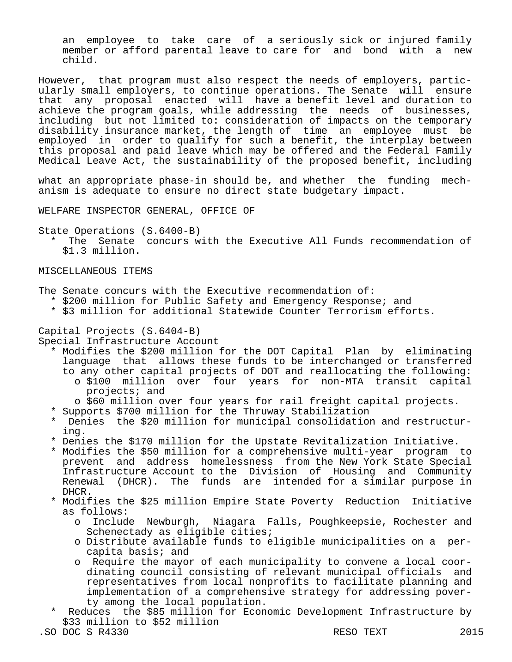an employee to take care of a seriously sick or injured family member or afford parental leave to care for and bond with a new child.

However, that program must also respect the needs of employers, particularly small employers, to continue operations. The Senate will ensure that any proposal enacted will have a benefit level and duration to achieve the program goals, while addressing the needs of businesses, including but not limited to: consideration of impacts on the temporary disability insurance market, the length of time an employee must be employed in order to qualify for such a benefit, the interplay between this proposal and paid leave which may be offered and the Federal Family Medical Leave Act, the sustainability of the proposed benefit, including

what an appropriate phase-in should be, and whether the funding mechanism is adequate to ensure no direct state budgetary impact.

WELFARE INSPECTOR GENERAL, OFFICE OF

State Operations (S.6400-B)

The Senate concurs with the Executive All Funds recommendation of \$1.3 million.

### MISCELLANEOUS ITEMS

The Senate concurs with the Executive recommendation of:

- \* \$200 million for Public Safety and Emergency Response; and
- \* \$3 million for additional Statewide Counter Terrorism efforts.

#### Capital Projects (S.6404-B)

Special Infrastructure Account

- \* Modifies the \$200 million for the DOT Capital Plan by eliminating language that allows these funds to be interchanged or transferred to any other capital projects of DOT and reallocating the following: o \$100 million over four years for non-MTA transit capital projects; and
	- o \$60 million over four years for rail freight capital projects.
- \* Supports \$700 million for the Thruway Stabilization
- \* Denies the \$20 million for municipal consolidation and restructur ing.
- \* Denies the \$170 million for the Upstate Revitalization Initiative.
- \* Modifies the \$50 million for a comprehensive multi-year program to prevent and address homelessness from the New York State Special Infrastructure Account to the Division of Housing and Community Renewal (DHCR). The funds are intended for a similar purpose in DHCR.
- \* Modifies the \$25 million Empire State Poverty Reduction Initiative as follows:
	- o Include Newburgh, Niagara Falls, Poughkeepsie, Rochester and Schenectady as eligible cities;
	- o Distribute available funds to eligible municipalities on a per capita basis; and
	- o Require the mayor of each municipality to convene a local coor dinating council consisting of relevant municipal officials and representatives from local nonprofits to facilitate planning and implementation of a comprehensive strategy for addressing pover ty among the local population.
- Reduces the \$85 million for Economic Development Infrastructure by \$33 million to \$52 million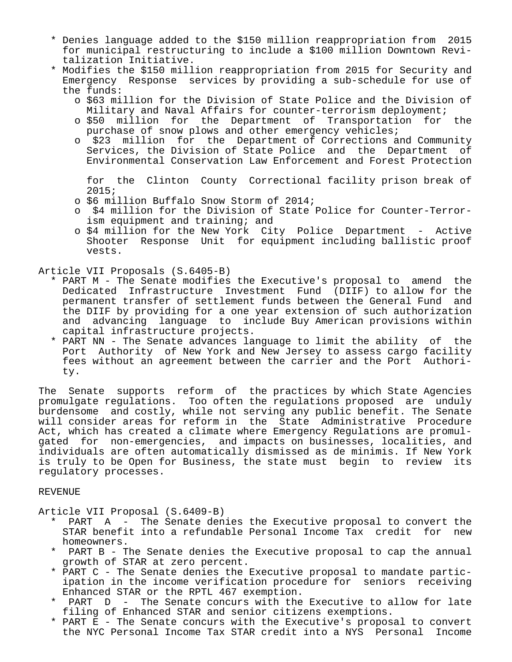- \* Denies language added to the \$150 million reappropriation from 2015 for municipal restructuring to include a \$100 million Downtown Revi talization Initiative.
- \* Modifies the \$150 million reappropriation from 2015 for Security and Emergency Response services by providing a sub-schedule for use of the funds:
	- o \$63 million for the Division of State Police and the Division of Military and Naval Affairs for counter-terrorism deployment;
	- o \$50 million for the Department of Transportation for the purchase of snow plows and other emergency vehicles;
	- o \$23 million for the Department of Corrections and Community Services, the Division of State Police and the Department of Environmental Conservation Law Enforcement and Forest Protection

 for the Clinton County Correctional facility prison break of 2015;

- o \$6 million Buffalo Snow Storm of 2014;
- o \$4 million for the Division of State Police for Counter-Terror ism equipment and training; and
- o \$4 million for the New York City Police Department Active Shooter Response Unit for equipment including ballistic proof vests.

Article VII Proposals (S.6405-B)

- \* PART M The Senate modifies the Executive's proposal to amend the Dedicated Infrastructure Investment Fund (DIIF) to allow for the permanent transfer of settlement funds between the General Fund and the DIIF by providing for a one year extension of such authorization and advancing language to include Buy American provisions within capital infrastructure projects.
- \* PART NN The Senate advances language to limit the ability of the Port Authority of New York and New Jersey to assess cargo facility fees without an agreement between the carrier and the Port Authori ty.

The Senate supports reform of the practices by which State Agencies promulgate regulations. Too often the regulations proposed are unduly burdensome and costly, while not serving any public benefit. The Senate will consider areas for reform in the State Administrative Procedure Act, which has created a climate where Emergency Regulations are promulgated for non-emergencies, and impacts on businesses, localities, and individuals are often automatically dismissed as de minimis. If New York is truly to be Open for Business, the state must begin to review its regulatory processes.

### REVENUE

Article VII Proposal (S.6409-B)

- $PART$  A The Senate denies the Executive proposal to convert the STAR benefit into a refundable Personal Income Tax credit for new homeowners.
- PART B The Senate denies the Executive proposal to cap the annual growth of STAR at zero percent.
- \* PART C The Senate denies the Executive proposal to mandate partic ipation in the income verification procedure for seniors receiving Enhanced STAR or the RPTL 467 exemption.
- PART  $D$  The Senate concurs with the Executive to allow for late filing of Enhanced STAR and senior citizens exemptions.
- \* PART E The Senate concurs with the Executive's proposal to convert the NYC Personal Income Tax STAR credit into a NYS Personal Income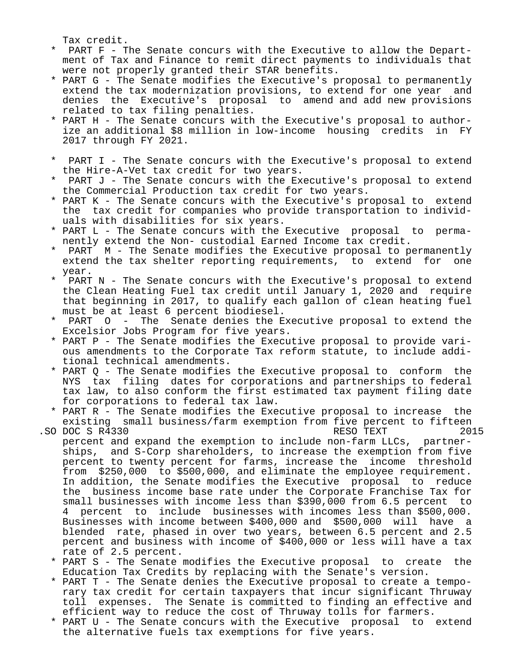Tax credit.

- PART F The Senate concurs with the Executive to allow the Depart ment of Tax and Finance to remit direct payments to individuals that were not properly granted their STAR benefits.
- \* PART G The Senate modifies the Executive's proposal to permanently extend the tax modernization provisions, to extend for one year and denies the Executive's proposal to amend and add new provisions related to tax filing penalties.
- \* PART H The Senate concurs with the Executive's proposal to author ize an additional \$8 million in low-income housing credits in FY 2017 through FY 2021.
- \* PART I The Senate concurs with the Executive's proposal to extend the Hire-A-Vet tax credit for two years.
- PART J The Senate concurs with the Executive's proposal to extend the Commercial Production tax credit for two years.
- \* PART K The Senate concurs with the Executive's proposal to extend the tax credit for companies who provide transportation to individ uals with disabilities for six years.
- \* PART L The Senate concurs with the Executive proposal to perma nently extend the Non- custodial Earned Income tax credit.
- PART M The Senate modifies the Executive proposal to permanently extend the tax shelter reporting requirements, to extend for one year.
- PART N The Senate concurs with the Executive's proposal to extend the Clean Heating Fuel tax credit until January 1, 2020 and require that beginning in 2017, to qualify each gallon of clean heating fuel must be at least 6 percent biodiesel.
- PART O The Senate denies the Executive proposal to extend the Excelsior Jobs Program for five years.
- \* PART P The Senate modifies the Executive proposal to provide vari ous amendments to the Corporate Tax reform statute, to include addi tional technical amendments.
- \* PART Q The Senate modifies the Executive proposal to conform the NYS tax filing dates for corporations and partnerships to federal tax law, to also conform the first estimated tax payment filing date for corporations to federal tax law.
- \* PART R The Senate modifies the Executive proposal to increase the existing small business/farm exemption from five percent to fifteen<br>DOC S R4330 PDC S R4330
- .SO DOC S R4330 RESO TEXT 2015 percent and expand the exemption to include non-farm LLCs, partner ships, and S-Corp shareholders, to increase the exemption from five percent to twenty percent for farms, increase the income threshold from \$250,000 to \$500,000, and eliminate the employee requirement. In addition, the Senate modifies the Executive proposal to reduce the business income base rate under the Corporate Franchise Tax for small businesses with income less than \$390,000 from 6.5 percent to 4 percent to include businesses with incomes less than \$500,000. Businesses with income between \$400,000 and \$500,000 will have a blended rate, phased in over two years, between 6.5 percent and 2.5 percent and business with income of \$400,000 or less will have a tax rate of 2.5 percent.
	- \* PART S The Senate modifies the Executive proposal to create the Education Tax Credits by replacing with the Senate's version.
	- \* PART T The Senate denies the Executive proposal to create a tempo rary tax credit for certain taxpayers that incur significant Thruway toll expenses. The Senate is committed to finding an effective and efficient way to reduce the cost of Thruway tolls for farmers.
	- \* PART U The Senate concurs with the Executive proposal to extend the alternative fuels tax exemptions for five years.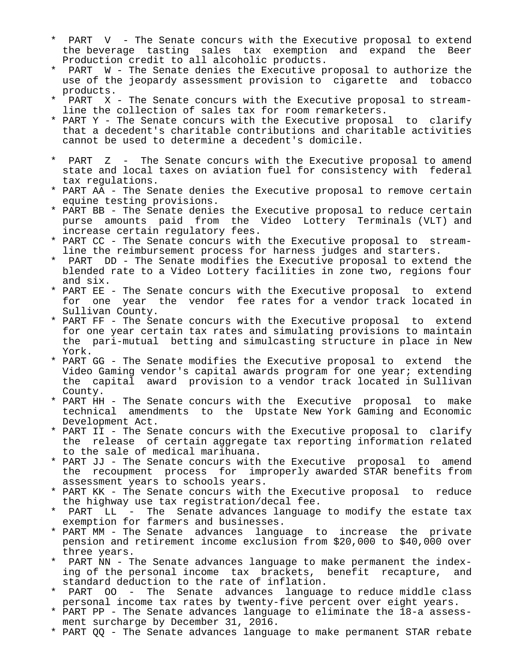- \* PART V The Senate concurs with the Executive proposal to extend<br>the beverage tasting sales tax exemption and expand the Beer the beverage tasting sales tax exemption Production credit to all alcoholic products.
- PART W The Senate denies the Executive proposal to authorize the use of the jeopardy assessment provision to cigarette and tobacco products.
- PART X The Senate concurs with the Executive proposal to streamline the collection of sales tax for room remarketers.
- \* PART Y The Senate concurs with the Executive proposal to clarify that a decedent's charitable contributions and charitable activities cannot be used to determine a decedent's domicile.
- \* PART Z The Senate concurs with the Executive proposal to amend state and local taxes on aviation fuel for consistency with federal tax regulations.
- \* PART AA The Senate denies the Executive proposal to remove certain equine testing provisions.
- \* PART BB The Senate denies the Executive proposal to reduce certain purse amounts paid from the Video Lottery Terminals (VLT) and increase certain regulatory fees.
- \* PART CC The Senate concurs with the Executive proposal to stream line the reimbursement process for harness judges and starters.
- PART DD The Senate modifies the Executive proposal to extend the blended rate to a Video Lottery facilities in zone two, regions four and six.
- \* PART EE The Senate concurs with the Executive proposal to extend for one year the vendor fee rates for a vendor track located in Sullivan County.
- \* PART FF The Senate concurs with the Executive proposal to extend for one year certain tax rates and simulating provisions to maintain the pari-mutual betting and simulcasting structure in place in New York.
- \* PART GG The Senate modifies the Executive proposal to extend the Video Gaming vendor's capital awards program for one year; extending the capital award provision to a vendor track located in Sullivan County.
- \* PART HH The Senate concurs with the Executive proposal to make technical amendments to the Upstate New York Gaming and Economic Development Act.
- \* PART II The Senate concurs with the Executive proposal to clarify the release of certain aggregate tax reporting information related to the sale of medical marihuana.
- \* PART JJ The Senate concurs with the Executive proposal to amend the recoupment process for improperly awarded STAR benefits from assessment years to schools years.
- \* PART KK The Senate concurs with the Executive proposal to reduce the highway use tax registration/decal fee.
- PART LL The Senate advances language to modify the estate tax exemption for farmers and businesses.
- \* PART MM The Senate advances language to increase the private pension and retirement income exclusion from \$20,000 to \$40,000 over three years.
- PART NN The Senate advances language to make permanent the index ing of the personal income tax brackets, benefit recapture, and standard deduction to the rate of inflation.
- PART OO The Senate advances language to reduce middle class personal income tax rates by twenty-five percent over eight years.
- \* PART PP The Senate advances language to eliminate the 18-a assess ment surcharge by December 31, 2016.
- \* PART QQ The Senate advances language to make permanent STAR rebate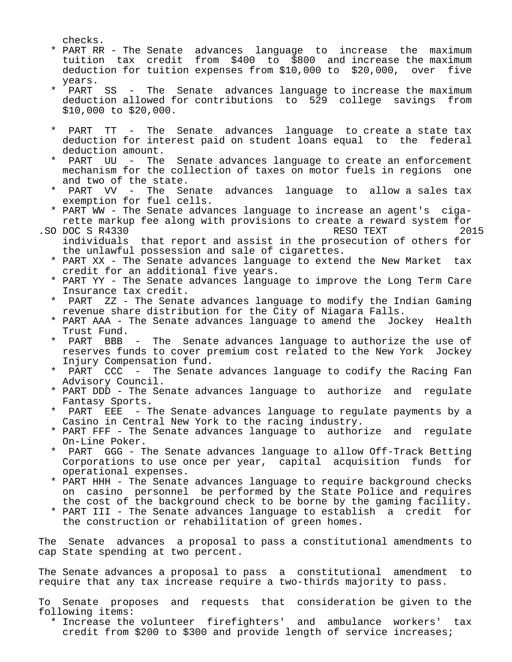checks.

- \* PART RR The Senate advances language to increase the maximum tuition tax credit from \$400 to \$800 and increase the maximum deduction for tuition expenses from \$10,000 to \$20,000, over five years.<br>\* PAPT
- PART SS The Senate advances language to increase the maximum deduction allowed for contributions to 529 college savings from \$10,000 to \$20,000.
- PART TT The Senate advances language to create a state tax deduction for interest paid on student loans equal to the federal deduction amount.
- PART UU The Senate advances language to create an enforcement mechanism for the collection of taxes on motor fuels in regions one and two of the state.
- PART VV The Senate advances language to allow a sales tax exemption for fuel cells.
- \* PART WW The Senate advances language to increase an agent's ciga rette markup fee along with provisions to create a reward system for<br>DOC S R4330 2015
- .SO DOC S R4330 RESO TEXT individuals that report and assist in the prosecution of others for the unlawful possession and sale of cigarettes.
	- \* PART XX The Senate advances language to extend the New Market tax credit for an additional five years.
	- \* PART YY The Senate advances language to improve the Long Term Care Insurance tax credit.
	- PART ZZ The Senate advances language to modify the Indian Gaming revenue share distribution for the City of Niagara Falls.
	- \* PART AAA The Senate advances language to amend the Jockey Health Trust Fund.
	- PART BBB The Senate advances language to authorize the use of reserves funds to cover premium cost related to the New York Jockey Injury Compensation fund.<br>\* PART CCC - The Senate
	- PART CCC The Senate advances language to codify the Racing Fan Advisory Council.
	- \* PART DDD The Senate advances language to authorize and regulate Fantasy Sports.
	- PART EEE The Senate advances language to regulate payments by a Casino in Central New York to the racing industry.
	- \* PART FFF The Senate advances language to authorize and regulate On-Line Poker.<br>\* PAPT CCC - T
	- PART GGG The Senate advances language to allow Off-Track Betting Corporations to use once per year, capital acquisition funds for operational expenses.
	- \* PART HHH The Senate advances language to require background checks on casino personnel be performed by the State Police and requires the cost of the background check to be borne by the gaming facility.
	- \* PART III The Senate advances language to establish a credit for the construction or rehabilitation of green homes.

The Senate advances a proposal to pass a constitutional amendments to cap State spending at two percent.

The Senate advances a proposal to pass a constitutional amendment to require that any tax increase require a two-thirds majority to pass.

To Senate proposes and requests that consideration be given to the following items:

 \* Increase the volunteer firefighters' and ambulance workers' tax credit from \$200 to \$300 and provide length of service increases;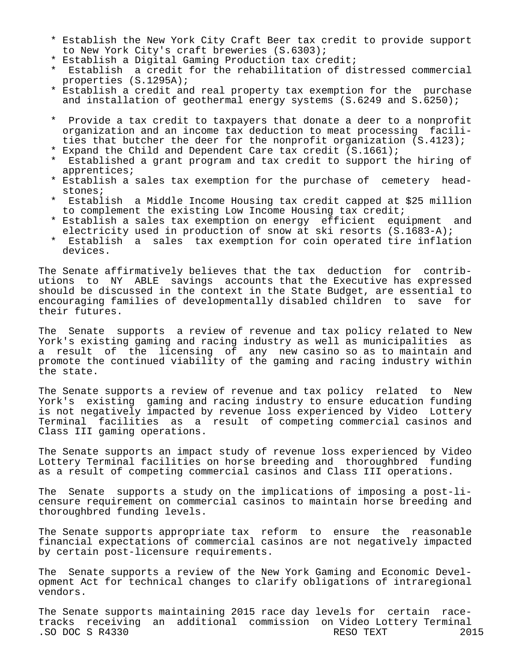- \* Establish the New York City Craft Beer tax credit to provide support to New York City's craft breweries (S.6303);
- \* Establish a Digital Gaming Production tax credit;
- Establish a credit for the rehabilitation of distressed commercial properties (S.1295A);
- \* Establish a credit and real property tax exemption for the purchase and installation of geothermal energy systems (S.6249 and S.6250);
- \* Provide a tax credit to taxpayers that donate a deer to a nonprofit organization and an income tax deduction to meat processing facili ties that butcher the deer for the nonprofit organization (S.4123);
- \* Expand the Child and Dependent Care tax credit (S.1661);
- Established a grant program and tax credit to support the hiring of apprentices;
- \* Establish a sales tax exemption for the purchase of cemetery head stones;
- Establish a Middle Income Housing tax credit capped at \$25 million to complement the existing Low Income Housing tax credit;
- \* Establish a sales tax exemption on energy efficient equipment and electricity used in production of snow at ski resorts (S.1683-A);<br>\* Establish a sales tax examption for soin eperated tire inflat:
- Establish a sales tax exemption for coin operated tire inflation devices.

The Senate affirmatively believes that the tax deduction for contributions to NY ABLE savings accounts that the Executive has expressed should be discussed in the context in the State Budget, are essential to encouraging families of developmentally disabled children to save for their futures.

The Senate supports a review of revenue and tax policy related to New York's existing gaming and racing industry as well as municipalities as a result of the licensing of any new casino so as to maintain and promote the continued viability of the gaming and racing industry within the state.

The Senate supports a review of revenue and tax policy related to New York's existing gaming and racing industry to ensure education funding is not negatively impacted by revenue loss experienced by Video Lottery Terminal facilities as a result of competing commercial casinos and Class III gaming operations.

The Senate supports an impact study of revenue loss experienced by Video Lottery Terminal facilities on horse breeding and thoroughbred funding as a result of competing commercial casinos and Class III operations.

The Senate supports a study on the implications of imposing a post-licensure requirement on commercial casinos to maintain horse breeding and thoroughbred funding levels.

The Senate supports appropriate tax reform to ensure the reasonable financial expectations of commercial casinos are not negatively impacted by certain post-licensure requirements.

The Senate supports a review of the New York Gaming and Economic Development Act for technical changes to clarify obligations of intraregional vendors.

The Senate supports maintaining 2015 race day levels for certain racetracks receiving an additional commission on Video Lottery Terminal .SO DOC S R4330